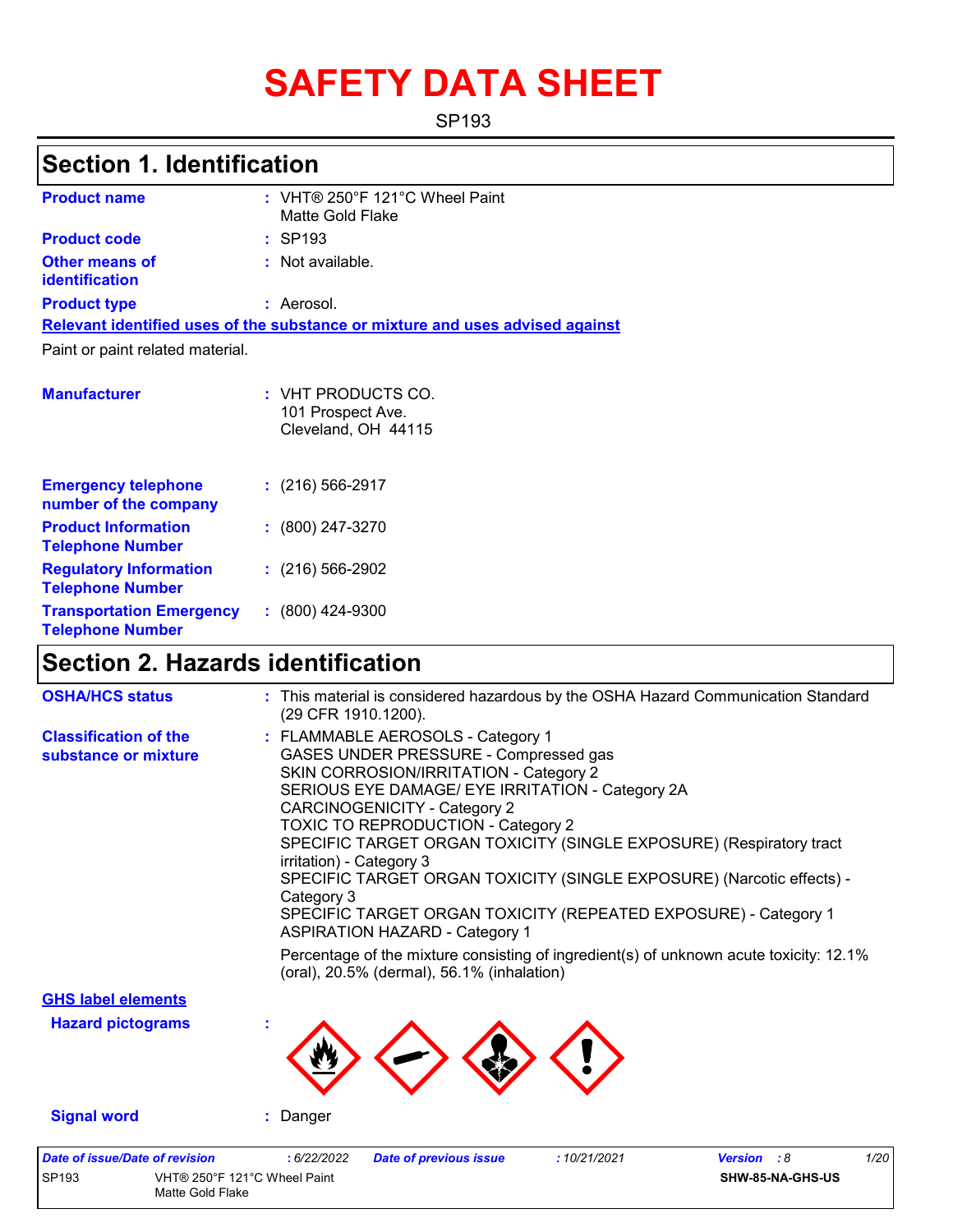# **SAFETY DATA SHEET**

SP193

## **Section 1. Identification**

| <b>Product name</b>                                   | : VHT® 250°F 121°C Wheel Paint<br>Matte Gold Flake                            |
|-------------------------------------------------------|-------------------------------------------------------------------------------|
| <b>Product code</b>                                   | $:$ SP193                                                                     |
| <b>Other means of</b><br><b>identification</b>        | : Not available.                                                              |
| <b>Product type</b>                                   | : Aerosol.                                                                    |
|                                                       | Relevant identified uses of the substance or mixture and uses advised against |
| Paint or paint related material.                      |                                                                               |
|                                                       |                                                                               |
| <b>Manufacturer</b>                                   | $:$ VHT PRODUCTS CO.                                                          |
|                                                       | 101 Prospect Ave.<br>Cleveland, OH 44115                                      |
|                                                       |                                                                               |
|                                                       |                                                                               |
| <b>Emergency telephone</b>                            | $: (216) 566 - 2917$                                                          |
| number of the company                                 |                                                                               |
| <b>Product Information</b><br><b>Telephone Number</b> | $: (800) 247 - 3270$                                                          |
| <b>Requision Information</b>                          | $\cdot$ (216) 566-2902                                                        |

|                                                            | 101 Prospect Ave.<br>Cleveland, OH 44115 |
|------------------------------------------------------------|------------------------------------------|
| <b>Emergency telephone</b><br>number of the company        | $: (216) 566 - 2917$                     |
| <b>Product Information</b><br><b>Telephone Number</b>      | $: (800) 247 - 3270$                     |
| <b>Regulatory Information</b><br><b>Telephone Number</b>   | $(216)$ 566-2902                         |
| <b>Transportation Emergency</b><br><b>Telephone Number</b> | $: (800)$ 424-9300                       |

### **Section 2. Hazards identification**

Matte Gold Flake

| <b>OSHA/HCS status</b>                               | : This material is considered hazardous by the OSHA Hazard Communication Standard<br>(29 CFR 1910.1200).                                                                                                                                                                                                                                                                                                                                                                                                                                                                                                                                                                                     |
|------------------------------------------------------|----------------------------------------------------------------------------------------------------------------------------------------------------------------------------------------------------------------------------------------------------------------------------------------------------------------------------------------------------------------------------------------------------------------------------------------------------------------------------------------------------------------------------------------------------------------------------------------------------------------------------------------------------------------------------------------------|
| <b>Classification of the</b><br>substance or mixture | : FLAMMABLE AEROSOLS - Category 1<br>GASES UNDER PRESSURE - Compressed gas<br>SKIN CORROSION/IRRITATION - Category 2<br>SERIOUS EYE DAMAGE/ EYE IRRITATION - Category 2A<br>CARCINOGENICITY - Category 2<br>TOXIC TO REPRODUCTION - Category 2<br>SPECIFIC TARGET ORGAN TOXICITY (SINGLE EXPOSURE) (Respiratory tract<br>irritation) - Category 3<br>SPECIFIC TARGET ORGAN TOXICITY (SINGLE EXPOSURE) (Narcotic effects) -<br>Category 3<br>SPECIFIC TARGET ORGAN TOXICITY (REPEATED EXPOSURE) - Category 1<br><b>ASPIRATION HAZARD - Category 1</b><br>Percentage of the mixture consisting of ingredient(s) of unknown acute toxicity: 12.1%<br>(oral), 20.5% (dermal), 56.1% (inhalation) |
| <b>GHS label elements</b>                            |                                                                                                                                                                                                                                                                                                                                                                                                                                                                                                                                                                                                                                                                                              |
| <b>Hazard pictograms</b>                             |                                                                                                                                                                                                                                                                                                                                                                                                                                                                                                                                                                                                                                                                                              |
| <b>Signal word</b>                                   | : Danger                                                                                                                                                                                                                                                                                                                                                                                                                                                                                                                                                                                                                                                                                     |
| <b>Date of issue/Date of revision</b><br>SP193       | 1/20<br>:6/22/2022<br><b>Date of previous issue</b><br>:10/21/2021<br><b>Version</b> : 8<br>VHT® 250°F 121°C Wheel Paint<br>SHW-85-NA-GHS-US                                                                                                                                                                                                                                                                                                                                                                                                                                                                                                                                                 |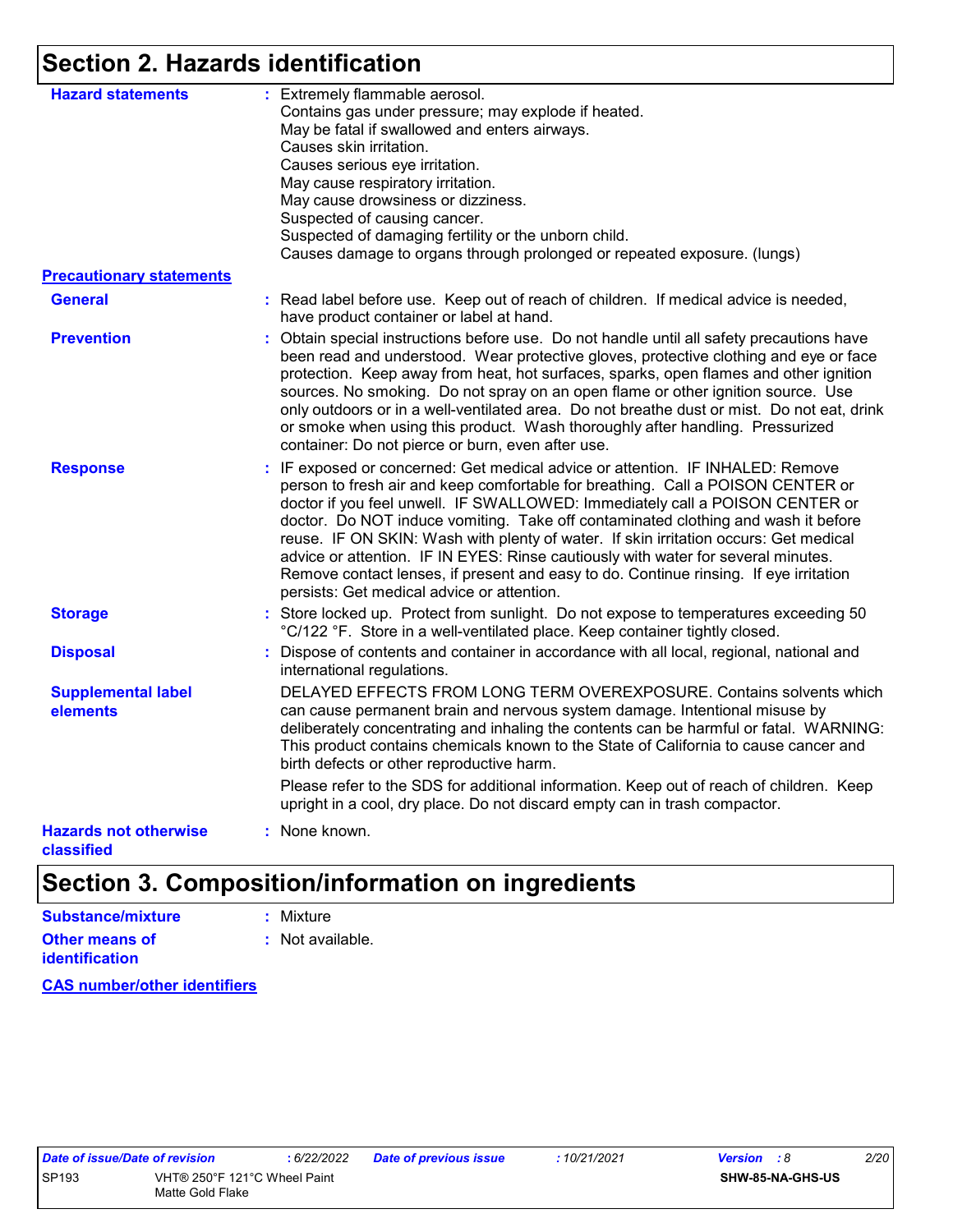# **Section 2. Hazards identification**

| <b>Hazard statements</b>                   | : Extremely flammable aerosol.<br>Contains gas under pressure; may explode if heated.<br>May be fatal if swallowed and enters airways.<br>Causes skin irritation.<br>Causes serious eye irritation.<br>May cause respiratory irritation.<br>May cause drowsiness or dizziness.<br>Suspected of causing cancer.<br>Suspected of damaging fertility or the unborn child.<br>Causes damage to organs through prolonged or repeated exposure. (lungs)                                                                                                                                                                                                          |
|--------------------------------------------|------------------------------------------------------------------------------------------------------------------------------------------------------------------------------------------------------------------------------------------------------------------------------------------------------------------------------------------------------------------------------------------------------------------------------------------------------------------------------------------------------------------------------------------------------------------------------------------------------------------------------------------------------------|
| <b>Precautionary statements</b>            |                                                                                                                                                                                                                                                                                                                                                                                                                                                                                                                                                                                                                                                            |
| <b>General</b>                             | : Read label before use. Keep out of reach of children. If medical advice is needed,<br>have product container or label at hand.                                                                                                                                                                                                                                                                                                                                                                                                                                                                                                                           |
| <b>Prevention</b>                          | : Obtain special instructions before use. Do not handle until all safety precautions have<br>been read and understood. Wear protective gloves, protective clothing and eye or face<br>protection. Keep away from heat, hot surfaces, sparks, open flames and other ignition<br>sources. No smoking. Do not spray on an open flame or other ignition source. Use<br>only outdoors or in a well-ventilated area. Do not breathe dust or mist. Do not eat, drink<br>or smoke when using this product. Wash thoroughly after handling. Pressurized<br>container: Do not pierce or burn, even after use.                                                        |
| <b>Response</b>                            | : IF exposed or concerned: Get medical advice or attention. IF INHALED: Remove<br>person to fresh air and keep comfortable for breathing. Call a POISON CENTER or<br>doctor if you feel unwell. IF SWALLOWED: Immediately call a POISON CENTER or<br>doctor. Do NOT induce vomiting. Take off contaminated clothing and wash it before<br>reuse. IF ON SKIN: Wash with plenty of water. If skin irritation occurs: Get medical<br>advice or attention. IF IN EYES: Rinse cautiously with water for several minutes.<br>Remove contact lenses, if present and easy to do. Continue rinsing. If eye irritation<br>persists: Get medical advice or attention. |
| <b>Storage</b>                             | : Store locked up. Protect from sunlight. Do not expose to temperatures exceeding 50<br>°C/122 °F. Store in a well-ventilated place. Keep container tightly closed.                                                                                                                                                                                                                                                                                                                                                                                                                                                                                        |
| <b>Disposal</b>                            | Dispose of contents and container in accordance with all local, regional, national and<br>international regulations.                                                                                                                                                                                                                                                                                                                                                                                                                                                                                                                                       |
| <b>Supplemental label</b><br>elements      | DELAYED EFFECTS FROM LONG TERM OVEREXPOSURE. Contains solvents which<br>can cause permanent brain and nervous system damage. Intentional misuse by<br>deliberately concentrating and inhaling the contents can be harmful or fatal. WARNING:<br>This product contains chemicals known to the State of California to cause cancer and<br>birth defects or other reproductive harm.                                                                                                                                                                                                                                                                          |
|                                            | Please refer to the SDS for additional information. Keep out of reach of children. Keep<br>upright in a cool, dry place. Do not discard empty can in trash compactor.                                                                                                                                                                                                                                                                                                                                                                                                                                                                                      |
| <b>Hazards not otherwise</b><br>classified | : None known.                                                                                                                                                                                                                                                                                                                                                                                                                                                                                                                                                                                                                                              |

# **Section 3. Composition/information on ingredients**

| Substance/mixture                       | : Mixture        |
|-----------------------------------------|------------------|
| Other means of<br><b>identification</b> | : Not available. |

**CAS number/other identifiers**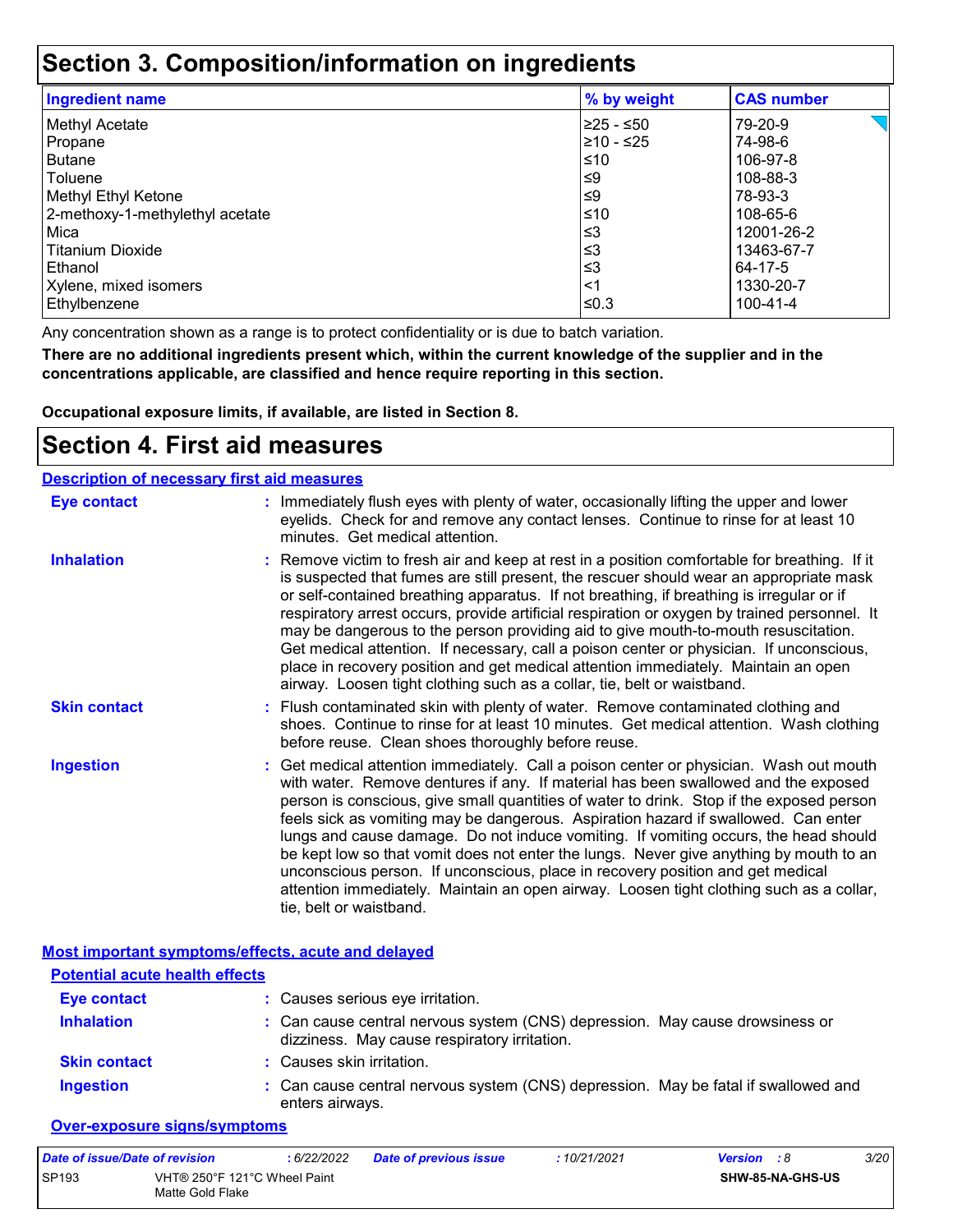### **Section 3. Composition/information on ingredients**

| <b>Ingredient name</b>          | % by weight | <b>CAS number</b> |
|---------------------------------|-------------|-------------------|
| <b>Methyl Acetate</b>           | 225 - ≤50   | 79-20-9           |
| Propane                         | 210 - ≤25   | 74-98-6           |
| <b>Butane</b>                   | ≤10         | 106-97-8          |
| Toluene                         | ≤9          | 108-88-3          |
| Methyl Ethyl Ketone             | ≤9          | 78-93-3           |
| 2-methoxy-1-methylethyl acetate | l≤10        | 108-65-6          |
| Mica                            | $\leq$ 3    | 12001-26-2        |
| <b>Titanium Dioxide</b>         | $\leq$ 3    | 13463-67-7        |
| Ethanol                         | ≲3          | 64-17-5           |
| Xylene, mixed isomers           | $<$ 1       | 1330-20-7         |
| Ethylbenzene                    | $≤0.3$      | 100-41-4          |

Any concentration shown as a range is to protect confidentiality or is due to batch variation.

**There are no additional ingredients present which, within the current knowledge of the supplier and in the concentrations applicable, are classified and hence require reporting in this section.**

**Occupational exposure limits, if available, are listed in Section 8.**

### **Section 4. First aid measures**

| <b>Description of necessary first aid measures</b> |                                                                                                                                                                                                                                                                                                                                                                                                                                                                                                                                                                                                                                                                                                                                                         |
|----------------------------------------------------|---------------------------------------------------------------------------------------------------------------------------------------------------------------------------------------------------------------------------------------------------------------------------------------------------------------------------------------------------------------------------------------------------------------------------------------------------------------------------------------------------------------------------------------------------------------------------------------------------------------------------------------------------------------------------------------------------------------------------------------------------------|
| <b>Eye contact</b>                                 | : Immediately flush eyes with plenty of water, occasionally lifting the upper and lower<br>eyelids. Check for and remove any contact lenses. Continue to rinse for at least 10<br>minutes. Get medical attention.                                                                                                                                                                                                                                                                                                                                                                                                                                                                                                                                       |
| <b>Inhalation</b>                                  | : Remove victim to fresh air and keep at rest in a position comfortable for breathing. If it<br>is suspected that fumes are still present, the rescuer should wear an appropriate mask<br>or self-contained breathing apparatus. If not breathing, if breathing is irregular or if<br>respiratory arrest occurs, provide artificial respiration or oxygen by trained personnel. It<br>may be dangerous to the person providing aid to give mouth-to-mouth resuscitation.<br>Get medical attention. If necessary, call a poison center or physician. If unconscious,<br>place in recovery position and get medical attention immediately. Maintain an open<br>airway. Loosen tight clothing such as a collar, tie, belt or waistband.                    |
| <b>Skin contact</b>                                | : Flush contaminated skin with plenty of water. Remove contaminated clothing and<br>shoes. Continue to rinse for at least 10 minutes. Get medical attention. Wash clothing<br>before reuse. Clean shoes thoroughly before reuse.                                                                                                                                                                                                                                                                                                                                                                                                                                                                                                                        |
| <b>Ingestion</b>                                   | : Get medical attention immediately. Call a poison center or physician. Wash out mouth<br>with water. Remove dentures if any. If material has been swallowed and the exposed<br>person is conscious, give small quantities of water to drink. Stop if the exposed person<br>feels sick as vomiting may be dangerous. Aspiration hazard if swallowed. Can enter<br>lungs and cause damage. Do not induce vomiting. If vomiting occurs, the head should<br>be kept low so that vomit does not enter the lungs. Never give anything by mouth to an<br>unconscious person. If unconscious, place in recovery position and get medical<br>attention immediately. Maintain an open airway. Loosen tight clothing such as a collar,<br>tie, belt or waistband. |

|                                       | Most important symptoms/effects, acute and delayed                                                                           |
|---------------------------------------|------------------------------------------------------------------------------------------------------------------------------|
| <b>Potential acute health effects</b> |                                                                                                                              |
| <b>Eye contact</b>                    | : Causes serious eye irritation.                                                                                             |
| <b>Inhalation</b>                     | : Can cause central nervous system (CNS) depression. May cause drowsiness or<br>dizziness. May cause respiratory irritation. |
| <b>Skin contact</b>                   | : Causes skin irritation.                                                                                                    |
| <b>Ingestion</b>                      | : Can cause central nervous system (CNS) depression. May be fatal if swallowed and<br>enters airways.                        |

#### **Over-exposure signs/symptoms**

| Date of issue/Date of revision                                   |  | 6/22/2022 | <b>Date of previous issue</b> | : 10/21/2021     | <b>Version</b> : 8 | <i>3/20</i> |
|------------------------------------------------------------------|--|-----------|-------------------------------|------------------|--------------------|-------------|
| <b>SP193</b><br>VHT® 250°F 121°C Wheel Paint<br>Matte Gold Flake |  |           |                               | SHW-85-NA-GHS-US |                    |             |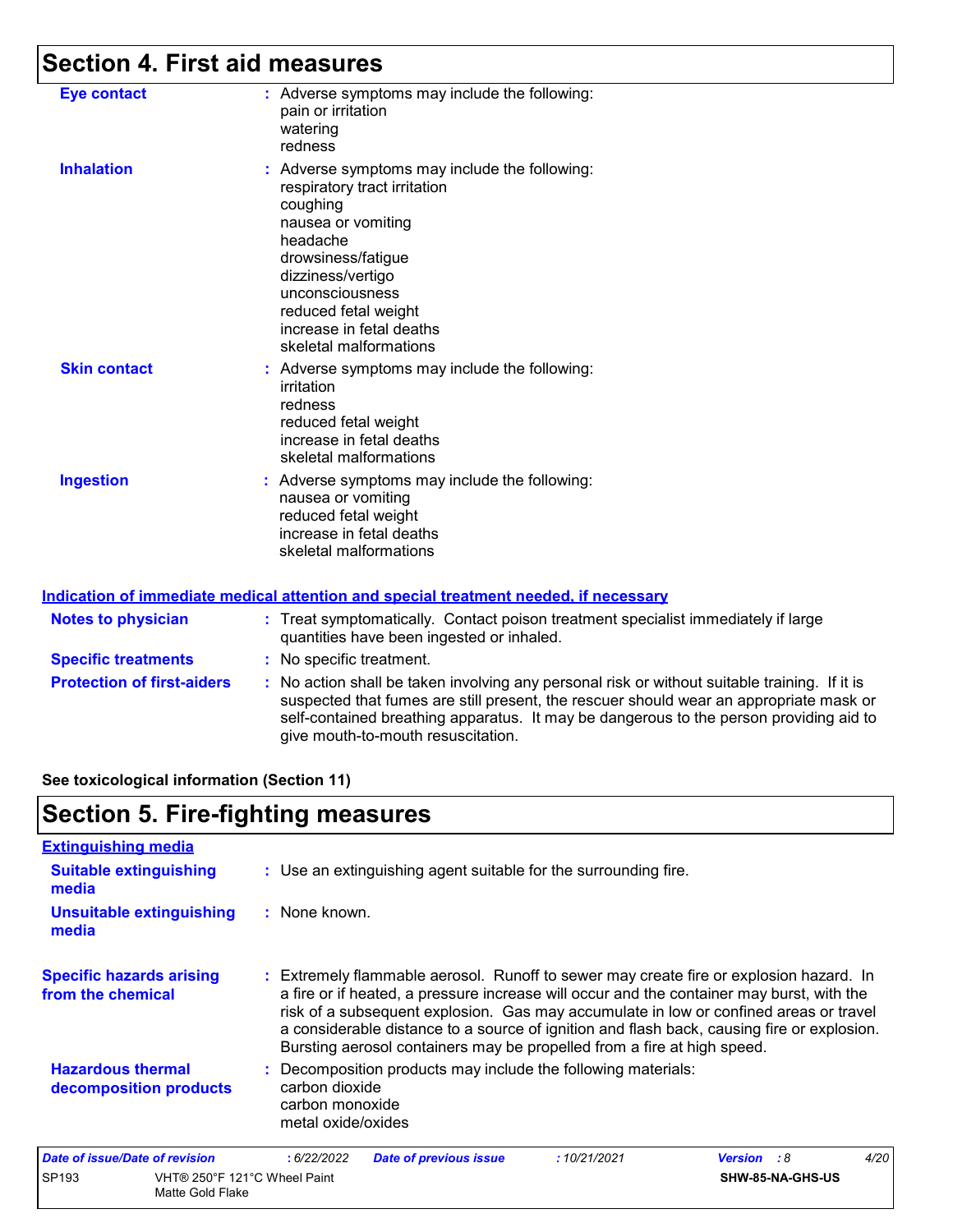# **Section 4. First aid measures**

| <b>Eye contact</b>  | : Adverse symptoms may include the following:<br>pain or irritation<br>watering<br>redness                                                                                                                                                                              |
|---------------------|-------------------------------------------------------------------------------------------------------------------------------------------------------------------------------------------------------------------------------------------------------------------------|
| <b>Inhalation</b>   | : Adverse symptoms may include the following:<br>respiratory tract irritation<br>coughing<br>nausea or vomiting<br>headache<br>drowsiness/fatigue<br>dizziness/vertigo<br>unconsciousness<br>reduced fetal weight<br>increase in fetal deaths<br>skeletal malformations |
| <b>Skin contact</b> | : Adverse symptoms may include the following:<br>irritation<br>redness<br>reduced fetal weight<br>increase in fetal deaths<br>skeletal malformations                                                                                                                    |
| <b>Ingestion</b>    | : Adverse symptoms may include the following:<br>nausea or vomiting<br>reduced fetal weight<br>increase in fetal deaths<br>skeletal malformations                                                                                                                       |

#### **Indication of immediate medical attention and special treatment needed, if necessary**

| <b>Notes to physician</b>         | : Treat symptomatically. Contact poison treatment specialist immediately if large<br>quantities have been ingested or inhaled.                                                                                                                                                                                          |
|-----------------------------------|-------------------------------------------------------------------------------------------------------------------------------------------------------------------------------------------------------------------------------------------------------------------------------------------------------------------------|
| <b>Specific treatments</b>        | : No specific treatment.                                                                                                                                                                                                                                                                                                |
| <b>Protection of first-aiders</b> | : No action shall be taken involving any personal risk or without suitable training. If it is<br>suspected that fumes are still present, the rescuer should wear an appropriate mask or<br>self-contained breathing apparatus. It may be dangerous to the person providing aid to<br>give mouth-to-mouth resuscitation. |

#### **See toxicological information (Section 11)**

## **Section 5. Fire-fighting measures**

| <b>Extinguishing media</b>                           |                                                                                                                                                                                                                                                                                                                                                                                                                                                       |
|------------------------------------------------------|-------------------------------------------------------------------------------------------------------------------------------------------------------------------------------------------------------------------------------------------------------------------------------------------------------------------------------------------------------------------------------------------------------------------------------------------------------|
| <b>Suitable extinguishing</b><br>media               | : Use an extinguishing agent suitable for the surrounding fire.                                                                                                                                                                                                                                                                                                                                                                                       |
| <b>Unsuitable extinguishing</b><br>media             | : None known.                                                                                                                                                                                                                                                                                                                                                                                                                                         |
| <b>Specific hazards arising</b><br>from the chemical | : Extremely flammable aerosol. Runoff to sewer may create fire or explosion hazard. In<br>a fire or if heated, a pressure increase will occur and the container may burst, with the<br>risk of a subsequent explosion. Gas may accumulate in low or confined areas or travel<br>a considerable distance to a source of ignition and flash back, causing fire or explosion.<br>Bursting aerosol containers may be propelled from a fire at high speed. |
| <b>Hazardous thermal</b><br>decomposition products   | : Decomposition products may include the following materials:<br>carbon dioxide<br>carbon monoxide<br>metal oxide/oxides                                                                                                                                                                                                                                                                                                                              |
| Date of issue/Date of revision                       | 4/20<br>: 6/22/2022<br><b>Date of previous issue</b><br>:10/21/2021<br><b>Version</b> : 8                                                                                                                                                                                                                                                                                                                                                             |

| <u>Pate of Boughate of Fevision</u> |                                                  | . <i>31 LLI L</i> V <i>LL</i> | <b>Pate of previous issue</b> | . <i>.</i> | <b>VGIOIUII IU</b> |                  |  |
|-------------------------------------|--------------------------------------------------|-------------------------------|-------------------------------|------------|--------------------|------------------|--|
| <b>SP193</b>                        | VHT® 250°F 121°C Wheel Paint<br>Matte Gold Flake |                               |                               |            |                    | SHW-85-NA-GHS-US |  |
|                                     |                                                  |                               |                               |            |                    |                  |  |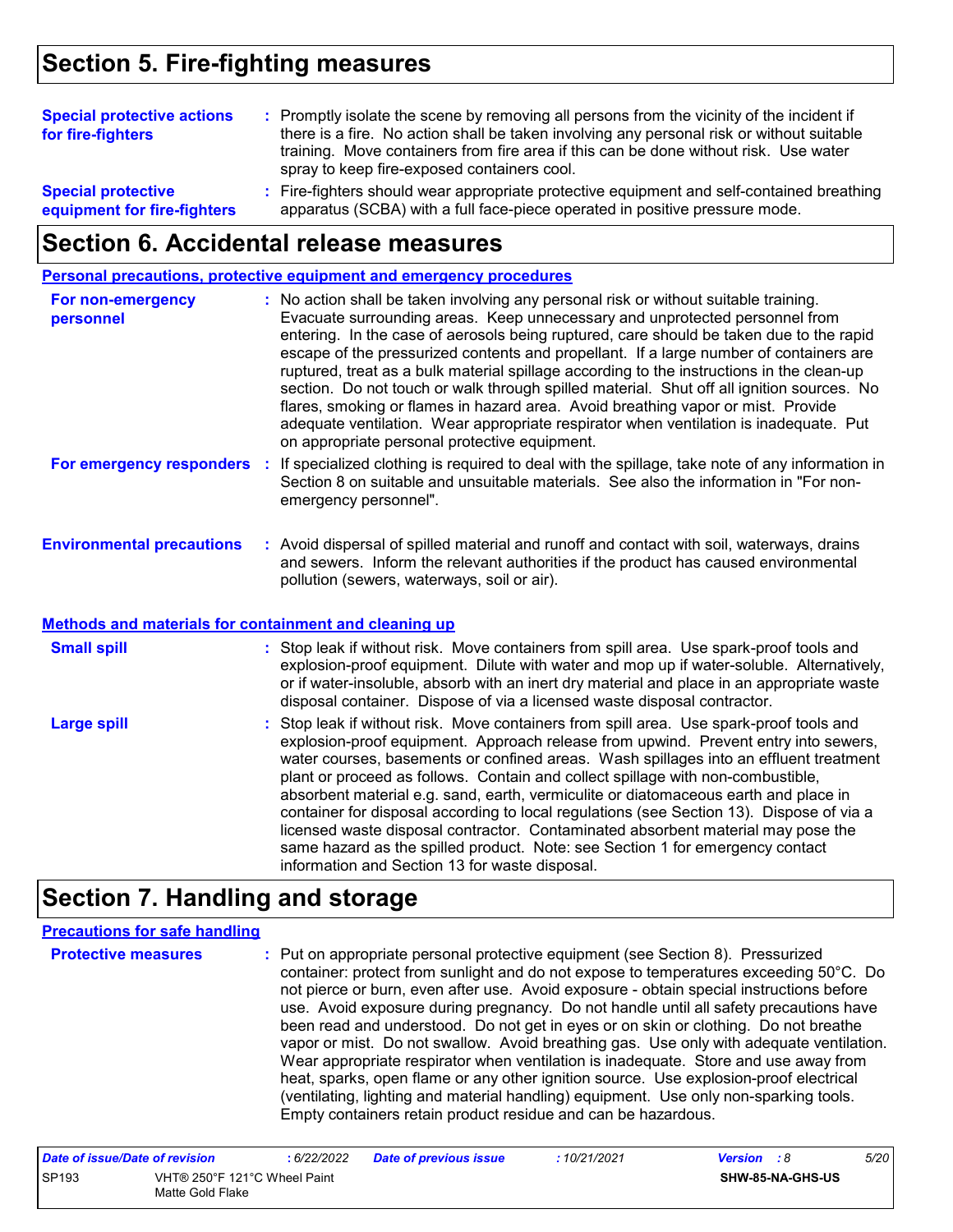### **Section 5. Fire-fighting measures**

| <b>Special protective actions</b><br>for fire-fighters   | : Promptly isolate the scene by removing all persons from the vicinity of the incident if<br>there is a fire. No action shall be taken involving any personal risk or without suitable<br>training. Move containers from fire area if this can be done without risk. Use water<br>spray to keep fire-exposed containers cool. |
|----------------------------------------------------------|-------------------------------------------------------------------------------------------------------------------------------------------------------------------------------------------------------------------------------------------------------------------------------------------------------------------------------|
| <b>Special protective</b><br>equipment for fire-fighters | : Fire-fighters should wear appropriate protective equipment and self-contained breathing<br>apparatus (SCBA) with a full face-piece operated in positive pressure mode.                                                                                                                                                      |

### **Section 6. Accidental release measures**

#### **Personal precautions, protective equipment and emergency procedures**

| For non-emergency<br>personnel   | : No action shall be taken involving any personal risk or without suitable training.<br>Evacuate surrounding areas. Keep unnecessary and unprotected personnel from<br>entering. In the case of aerosols being ruptured, care should be taken due to the rapid<br>escape of the pressurized contents and propellant. If a large number of containers are<br>ruptured, treat as a bulk material spillage according to the instructions in the clean-up<br>section. Do not touch or walk through spilled material. Shut off all ignition sources. No<br>flares, smoking or flames in hazard area. Avoid breathing vapor or mist. Provide<br>adequate ventilation. Wear appropriate respirator when ventilation is inadequate. Put<br>on appropriate personal protective equipment. |
|----------------------------------|----------------------------------------------------------------------------------------------------------------------------------------------------------------------------------------------------------------------------------------------------------------------------------------------------------------------------------------------------------------------------------------------------------------------------------------------------------------------------------------------------------------------------------------------------------------------------------------------------------------------------------------------------------------------------------------------------------------------------------------------------------------------------------|
| For emergency responders         | : If specialized clothing is required to deal with the spillage, take note of any information in<br>Section 8 on suitable and unsuitable materials. See also the information in "For non-<br>emergency personnel".                                                                                                                                                                                                                                                                                                                                                                                                                                                                                                                                                               |
| <b>Environmental precautions</b> | : Avoid dispersal of spilled material and runoff and contact with soil, waterways, drains<br>and sewers. Inform the relevant authorities if the product has caused environmental<br>pollution (sewers, waterways, soil or air).                                                                                                                                                                                                                                                                                                                                                                                                                                                                                                                                                  |

#### **Methods and materials for containment and cleaning up**

| <b>Small spill</b> | : Stop leak if without risk. Move containers from spill area. Use spark-proof tools and<br>explosion-proof equipment. Dilute with water and mop up if water-soluble. Alternatively,<br>or if water-insoluble, absorb with an inert dry material and place in an appropriate waste<br>disposal container. Dispose of via a licensed waste disposal contractor.                                                                                                                                                                                                                                                                                                                                                                                                        |
|--------------------|----------------------------------------------------------------------------------------------------------------------------------------------------------------------------------------------------------------------------------------------------------------------------------------------------------------------------------------------------------------------------------------------------------------------------------------------------------------------------------------------------------------------------------------------------------------------------------------------------------------------------------------------------------------------------------------------------------------------------------------------------------------------|
| <b>Large spill</b> | : Stop leak if without risk. Move containers from spill area. Use spark-proof tools and<br>explosion-proof equipment. Approach release from upwind. Prevent entry into sewers,<br>water courses, basements or confined areas. Wash spillages into an effluent treatment<br>plant or proceed as follows. Contain and collect spillage with non-combustible,<br>absorbent material e.g. sand, earth, vermiculite or diatomaceous earth and place in<br>container for disposal according to local regulations (see Section 13). Dispose of via a<br>licensed waste disposal contractor. Contaminated absorbent material may pose the<br>same hazard as the spilled product. Note: see Section 1 for emergency contact<br>information and Section 13 for waste disposal. |

### **Section 7. Handling and storage**

#### **Precautions for safe handling**

**Protective measures** Put on appropriate personal protective equipment (see Section 8). Pressurized **:** container: protect from sunlight and do not expose to temperatures exceeding 50°C. Do not pierce or burn, even after use. Avoid exposure - obtain special instructions before use. Avoid exposure during pregnancy. Do not handle until all safety precautions have been read and understood. Do not get in eyes or on skin or clothing. Do not breathe vapor or mist. Do not swallow. Avoid breathing gas. Use only with adequate ventilation. Wear appropriate respirator when ventilation is inadequate. Store and use away from heat, sparks, open flame or any other ignition source. Use explosion-proof electrical (ventilating, lighting and material handling) equipment. Use only non-sparking tools. Empty containers retain product residue and can be hazardous.

| Date of issue/Date of revision |                                                  | : 6/22/2022 | <b>Date of previous issue</b> | : 10/21/2021 | <b>Version</b> : 8 |                         | 5/20 |
|--------------------------------|--------------------------------------------------|-------------|-------------------------------|--------------|--------------------|-------------------------|------|
| SP <sub>193</sub>              | VHT® 250°F 121°C Wheel Paint<br>Matte Gold Flake |             |                               |              |                    | <b>SHW-85-NA-GHS-US</b> |      |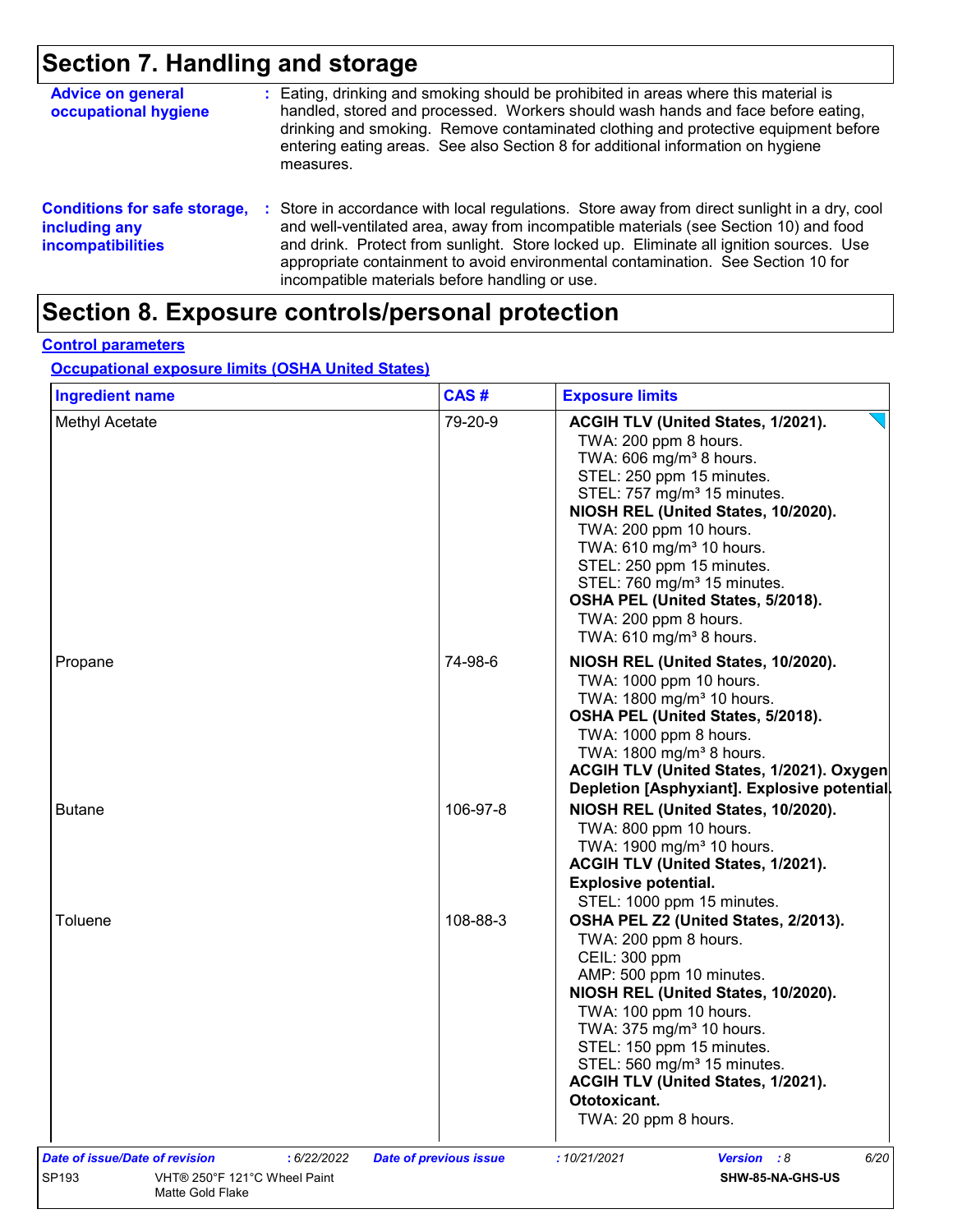# **Section 7. Handling and storage**

| <b>Advice on general</b><br>occupational hygiene                          |    | : Eating, drinking and smoking should be prohibited in areas where this material is<br>handled, stored and processed. Workers should wash hands and face before eating,<br>drinking and smoking. Remove contaminated clothing and protective equipment before<br>entering eating areas. See also Section 8 for additional information on hygiene<br>measures.                                                      |
|---------------------------------------------------------------------------|----|--------------------------------------------------------------------------------------------------------------------------------------------------------------------------------------------------------------------------------------------------------------------------------------------------------------------------------------------------------------------------------------------------------------------|
| <b>Conditions for safe storage,</b><br>including any<br>incompatibilities | ÷. | Store in accordance with local regulations. Store away from direct sunlight in a dry, cool<br>and well-ventilated area, away from incompatible materials (see Section 10) and food<br>and drink. Protect from sunlight. Store locked up. Eliminate all ignition sources. Use<br>appropriate containment to avoid environmental contamination. See Section 10 for<br>incompatible materials before handling or use. |

# **Section 8. Exposure controls/personal protection**

#### **Control parameters**

#### **Occupational exposure limits (OSHA United States)**

| <b>Ingredient name</b>                        | CAS#                          | <b>Exposure limits</b>                                                                                                                                                                                                                                                                                                                                                                                                                                           |
|-----------------------------------------------|-------------------------------|------------------------------------------------------------------------------------------------------------------------------------------------------------------------------------------------------------------------------------------------------------------------------------------------------------------------------------------------------------------------------------------------------------------------------------------------------------------|
| Methyl Acetate                                | 79-20-9                       | ACGIH TLV (United States, 1/2021).<br>TWA: 200 ppm 8 hours.<br>TWA: 606 mg/m <sup>3</sup> 8 hours.<br>STEL: 250 ppm 15 minutes.<br>STEL: 757 mg/m <sup>3</sup> 15 minutes.<br>NIOSH REL (United States, 10/2020).<br>TWA: 200 ppm 10 hours.<br>TWA: 610 mg/m <sup>3</sup> 10 hours.<br>STEL: 250 ppm 15 minutes.<br>STEL: 760 mg/m <sup>3</sup> 15 minutes.<br>OSHA PEL (United States, 5/2018).<br>TWA: 200 ppm 8 hours.<br>TWA: 610 mg/m <sup>3</sup> 8 hours. |
| Propane                                       | 74-98-6                       | NIOSH REL (United States, 10/2020).<br>TWA: 1000 ppm 10 hours.<br>TWA: 1800 mg/m <sup>3</sup> 10 hours.<br>OSHA PEL (United States, 5/2018).<br>TWA: 1000 ppm 8 hours.<br>TWA: 1800 mg/m <sup>3</sup> 8 hours.<br>ACGIH TLV (United States, 1/2021). Oxygen<br>Depletion [Asphyxiant]. Explosive potential.                                                                                                                                                      |
| <b>Butane</b>                                 | 106-97-8                      | NIOSH REL (United States, 10/2020).<br>TWA: 800 ppm 10 hours.<br>TWA: 1900 mg/m <sup>3</sup> 10 hours.<br>ACGIH TLV (United States, 1/2021).<br><b>Explosive potential.</b><br>STEL: 1000 ppm 15 minutes.                                                                                                                                                                                                                                                        |
| Toluene                                       | 108-88-3                      | OSHA PEL Z2 (United States, 2/2013).<br>TWA: 200 ppm 8 hours.<br>CEIL: 300 ppm<br>AMP: 500 ppm 10 minutes.<br>NIOSH REL (United States, 10/2020).<br>TWA: 100 ppm 10 hours.<br>TWA: 375 mg/m <sup>3</sup> 10 hours.<br>STEL: 150 ppm 15 minutes.<br>STEL: 560 mg/m <sup>3</sup> 15 minutes.<br>ACGIH TLV (United States, 1/2021).<br>Ototoxicant.<br>TWA: 20 ppm 8 hours.                                                                                        |
| Date of issue/Date of revision<br>: 6/22/2022 | <b>Date of previous issue</b> | Version : 8<br>6/20<br>:10/21/2021                                                                                                                                                                                                                                                                                                                                                                                                                               |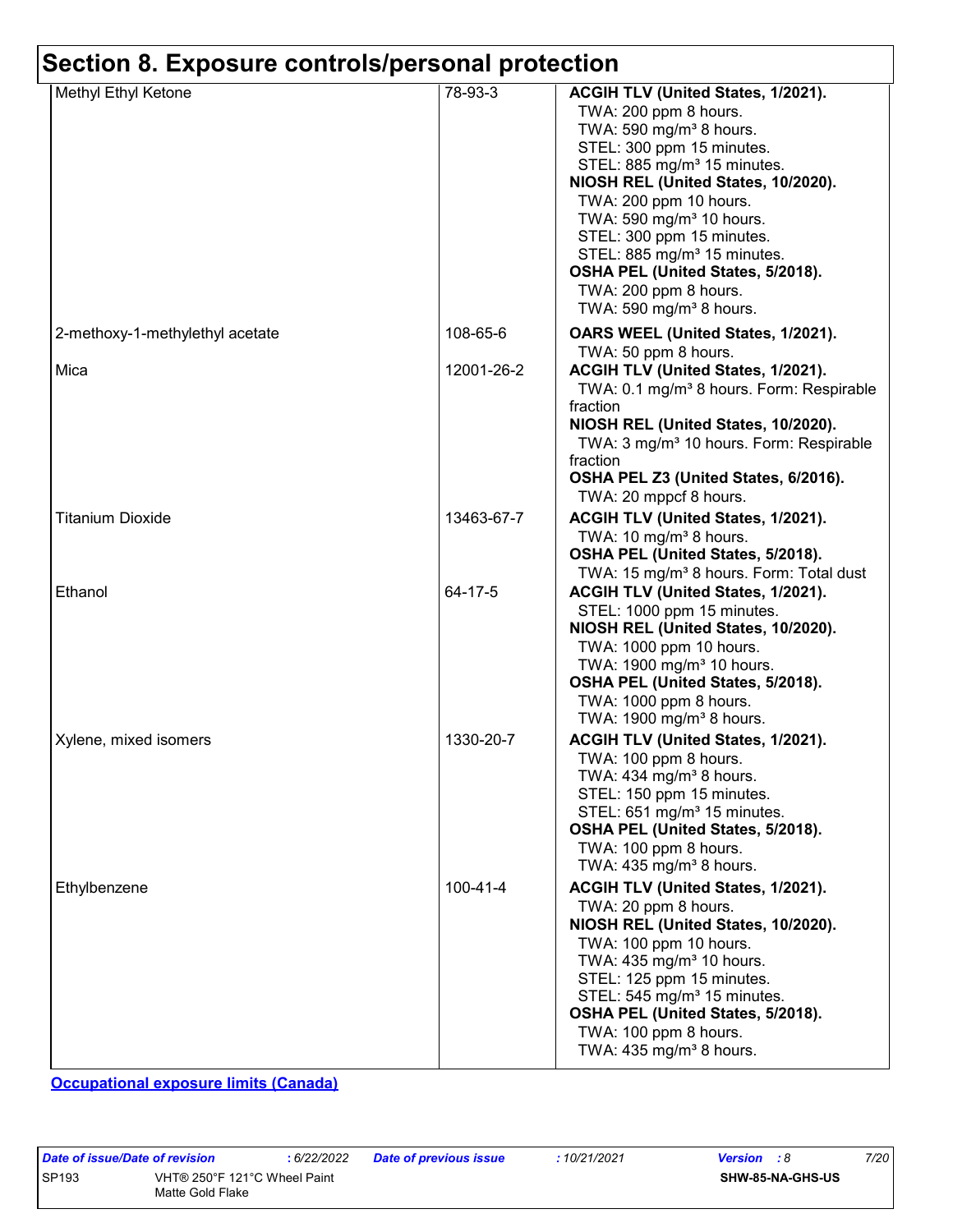| Methyl Ethyl Ketone             | 78-93-3        | ACGIH TLV (United States, 1/2021).                                   |
|---------------------------------|----------------|----------------------------------------------------------------------|
|                                 |                | TWA: 200 ppm 8 hours.                                                |
|                                 |                | TWA: 590 mg/m <sup>3</sup> 8 hours.                                  |
|                                 |                | STEL: 300 ppm 15 minutes.                                            |
|                                 |                | STEL: 885 mg/m <sup>3</sup> 15 minutes.                              |
|                                 |                | NIOSH REL (United States, 10/2020).                                  |
|                                 |                | TWA: 200 ppm 10 hours.                                               |
|                                 |                | TWA: 590 mg/m <sup>3</sup> 10 hours.                                 |
|                                 |                | STEL: 300 ppm 15 minutes.<br>STEL: 885 mg/m <sup>3</sup> 15 minutes. |
|                                 |                | OSHA PEL (United States, 5/2018).                                    |
|                                 |                | TWA: 200 ppm 8 hours.                                                |
|                                 |                | TWA: 590 mg/m <sup>3</sup> 8 hours.                                  |
| 2-methoxy-1-methylethyl acetate | 108-65-6       | OARS WEEL (United States, 1/2021).                                   |
|                                 |                | TWA: 50 ppm 8 hours.                                                 |
| Mica                            | 12001-26-2     | ACGIH TLV (United States, 1/2021).                                   |
|                                 |                | TWA: 0.1 mg/m <sup>3</sup> 8 hours. Form: Respirable                 |
|                                 |                | fraction<br>NIOSH REL (United States, 10/2020).                      |
|                                 |                | TWA: 3 mg/m <sup>3</sup> 10 hours. Form: Respirable                  |
|                                 |                | fraction                                                             |
|                                 |                | OSHA PEL Z3 (United States, 6/2016).                                 |
|                                 |                | TWA: 20 mppcf 8 hours.                                               |
| <b>Titanium Dioxide</b>         | 13463-67-7     | ACGIH TLV (United States, 1/2021).                                   |
|                                 |                | TWA: 10 mg/m <sup>3</sup> 8 hours.                                   |
|                                 |                | OSHA PEL (United States, 5/2018).                                    |
|                                 |                | TWA: 15 mg/m <sup>3</sup> 8 hours. Form: Total dust                  |
| Ethanol                         | 64-17-5        | ACGIH TLV (United States, 1/2021).                                   |
|                                 |                | STEL: 1000 ppm 15 minutes.                                           |
|                                 |                | NIOSH REL (United States, 10/2020).                                  |
|                                 |                | TWA: 1000 ppm 10 hours.                                              |
|                                 |                | TWA: 1900 mg/m <sup>3</sup> 10 hours.                                |
|                                 |                | OSHA PEL (United States, 5/2018).<br>TWA: 1000 ppm 8 hours.          |
|                                 |                | TWA: 1900 mg/m <sup>3</sup> 8 hours.                                 |
|                                 |                |                                                                      |
| Xylene, mixed isomers           | 1330-20-7      | ACGIH TLV (United States, 1/2021).                                   |
|                                 |                | TWA: 100 ppm 8 hours.<br>TWA: $434$ mg/m <sup>3</sup> 8 hours.       |
|                                 |                | STEL: 150 ppm 15 minutes.                                            |
|                                 |                | STEL: 651 mg/m <sup>3</sup> 15 minutes.                              |
|                                 |                | OSHA PEL (United States, 5/2018).                                    |
|                                 |                | TWA: 100 ppm 8 hours.                                                |
|                                 |                | TWA: $435 \text{ mg/m}^3$ 8 hours.                                   |
| Ethylbenzene                    | $100 - 41 - 4$ | ACGIH TLV (United States, 1/2021).                                   |
|                                 |                | TWA: 20 ppm 8 hours.                                                 |
|                                 |                | NIOSH REL (United States, 10/2020).                                  |
|                                 |                | TWA: 100 ppm 10 hours.                                               |
|                                 |                | TWA: 435 mg/m <sup>3</sup> 10 hours.                                 |
|                                 |                | STEL: 125 ppm 15 minutes.<br>STEL: 545 mg/m <sup>3</sup> 15 minutes. |
|                                 |                | OSHA PEL (United States, 5/2018).                                    |
|                                 |                | TWA: 100 ppm 8 hours.                                                |
|                                 |                | TWA: $435 \text{ mg/m}^3$ 8 hours.                                   |

**Occupational exposure limits (Canada)**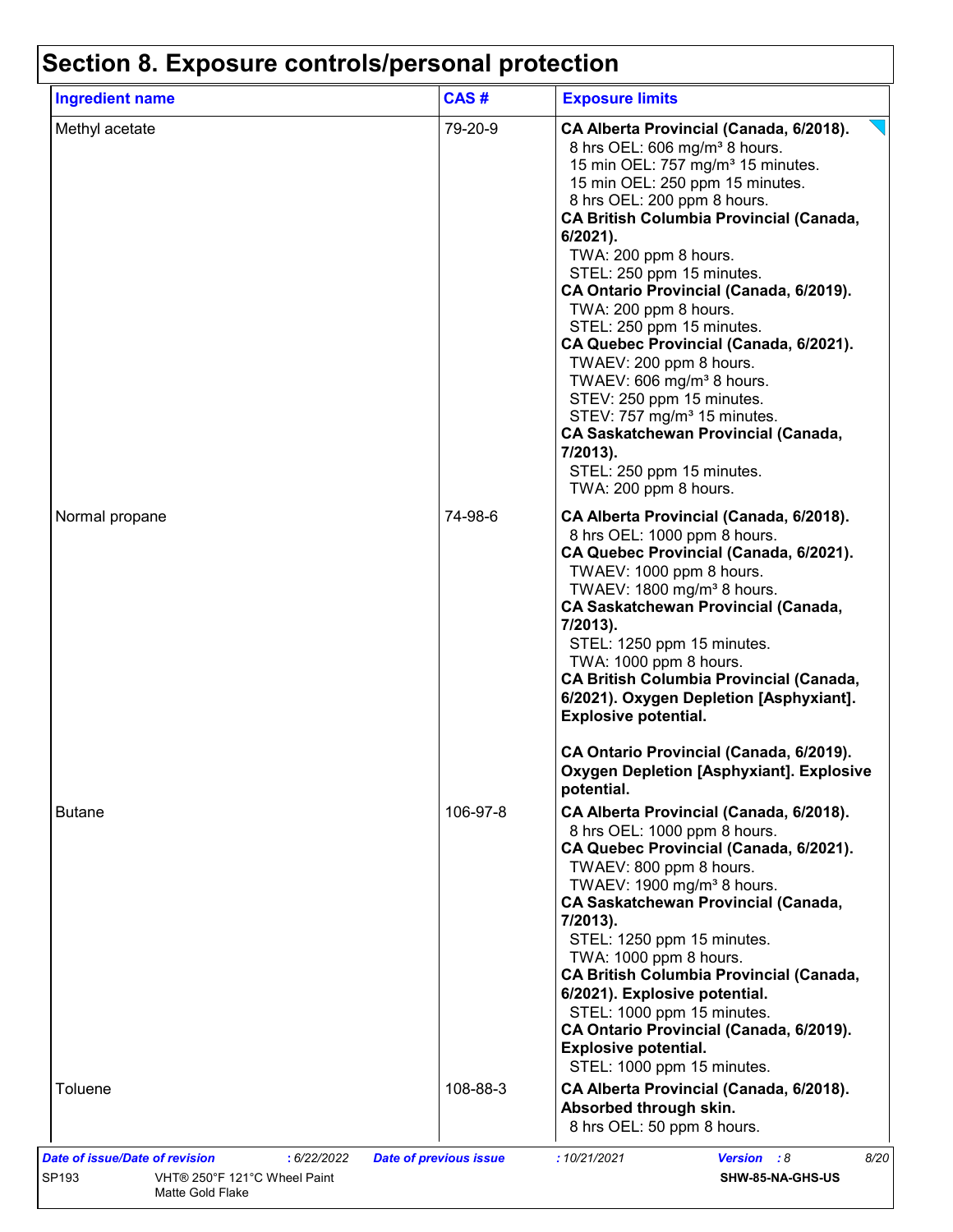# **Section 8. Exposure controls/personal protection**

| <b>Ingredient name</b> | CAS#     | <b>Exposure limits</b>                                                                                                                                                                                                                                                                                                                                                                                                                                                                                                                                                                                                                                                                                                                |
|------------------------|----------|---------------------------------------------------------------------------------------------------------------------------------------------------------------------------------------------------------------------------------------------------------------------------------------------------------------------------------------------------------------------------------------------------------------------------------------------------------------------------------------------------------------------------------------------------------------------------------------------------------------------------------------------------------------------------------------------------------------------------------------|
| Methyl acetate         | 79-20-9  | CA Alberta Provincial (Canada, 6/2018).<br>8 hrs OEL: 606 mg/m <sup>3</sup> 8 hours.<br>15 min OEL: 757 mg/m <sup>3</sup> 15 minutes.<br>15 min OEL: 250 ppm 15 minutes.<br>8 hrs OEL: 200 ppm 8 hours.<br><b>CA British Columbia Provincial (Canada,</b><br>$6/2021$ ).<br>TWA: 200 ppm 8 hours.<br>STEL: 250 ppm 15 minutes.<br>CA Ontario Provincial (Canada, 6/2019).<br>TWA: 200 ppm 8 hours.<br>STEL: 250 ppm 15 minutes.<br>CA Quebec Provincial (Canada, 6/2021).<br>TWAEV: 200 ppm 8 hours.<br>TWAEV: 606 mg/m <sup>3</sup> 8 hours.<br>STEV: 250 ppm 15 minutes.<br>STEV: 757 mg/m <sup>3</sup> 15 minutes.<br><b>CA Saskatchewan Provincial (Canada,</b><br>7/2013).<br>STEL: 250 ppm 15 minutes.<br>TWA: 200 ppm 8 hours. |
| Normal propane         | 74-98-6  | CA Alberta Provincial (Canada, 6/2018).<br>8 hrs OEL: 1000 ppm 8 hours.<br>CA Quebec Provincial (Canada, 6/2021).<br>TWAEV: 1000 ppm 8 hours.<br>TWAEV: 1800 mg/m <sup>3</sup> 8 hours.<br><b>CA Saskatchewan Provincial (Canada,</b><br>7/2013).<br>STEL: 1250 ppm 15 minutes.<br>TWA: 1000 ppm 8 hours.<br><b>CA British Columbia Provincial (Canada,</b><br>6/2021). Oxygen Depletion [Asphyxiant].<br><b>Explosive potential.</b>                                                                                                                                                                                                                                                                                                 |
|                        |          | CA Ontario Provincial (Canada, 6/2019).<br><b>Oxygen Depletion [Asphyxiant]. Explosive</b><br>potential.                                                                                                                                                                                                                                                                                                                                                                                                                                                                                                                                                                                                                              |
| <b>Butane</b>          | 106-97-8 | CA Alberta Provincial (Canada, 6/2018).<br>8 hrs OEL: 1000 ppm 8 hours.<br>CA Quebec Provincial (Canada, 6/2021).<br>TWAEV: 800 ppm 8 hours.<br>TWAEV: 1900 mg/m <sup>3</sup> 8 hours.<br><b>CA Saskatchewan Provincial (Canada,</b><br>7/2013).<br>STEL: 1250 ppm 15 minutes.<br>TWA: 1000 ppm 8 hours.<br><b>CA British Columbia Provincial (Canada,</b><br>6/2021). Explosive potential.<br>STEL: 1000 ppm 15 minutes.<br>CA Ontario Provincial (Canada, 6/2019).<br><b>Explosive potential.</b><br>STEL: 1000 ppm 15 minutes.                                                                                                                                                                                                     |
| Toluene                | 108-88-3 | CA Alberta Provincial (Canada, 6/2018).<br>Absorbed through skin.<br>8 hrs OEL: 50 ppm 8 hours.                                                                                                                                                                                                                                                                                                                                                                                                                                                                                                                                                                                                                                       |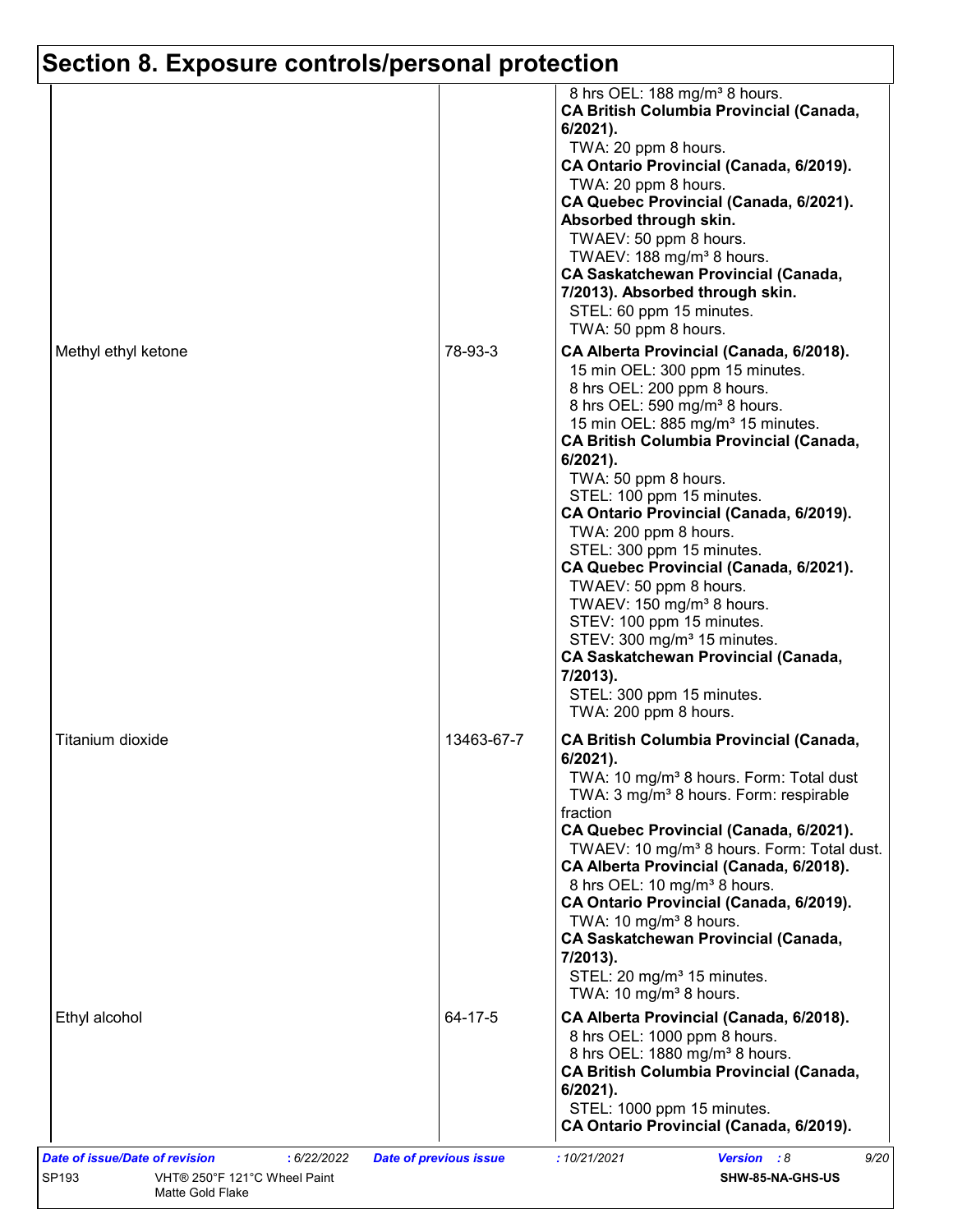# **Section 8. Exposure controls/personal protection**

|                     |            | 8 hrs OEL: 188 mg/m <sup>3</sup> 8 hours.<br><b>CA British Columbia Provincial (Canada,</b><br>$6/2021$ ).<br>TWA: 20 ppm 8 hours.<br>CA Ontario Provincial (Canada, 6/2019).<br>TWA: 20 ppm 8 hours.<br>CA Quebec Provincial (Canada, 6/2021).<br>Absorbed through skin.<br>TWAEV: 50 ppm 8 hours.<br>TWAEV: 188 mg/m <sup>3</sup> 8 hours.<br><b>CA Saskatchewan Provincial (Canada,</b><br>7/2013). Absorbed through skin.<br>STEL: 60 ppm 15 minutes.<br>TWA: 50 ppm 8 hours.                                                                                                                                                                                                                                                |
|---------------------|------------|----------------------------------------------------------------------------------------------------------------------------------------------------------------------------------------------------------------------------------------------------------------------------------------------------------------------------------------------------------------------------------------------------------------------------------------------------------------------------------------------------------------------------------------------------------------------------------------------------------------------------------------------------------------------------------------------------------------------------------|
| Methyl ethyl ketone | 78-93-3    | CA Alberta Provincial (Canada, 6/2018).<br>15 min OEL: 300 ppm 15 minutes.<br>8 hrs OEL: 200 ppm 8 hours.<br>8 hrs OEL: 590 mg/m <sup>3</sup> 8 hours.<br>15 min OEL: 885 mg/m <sup>3</sup> 15 minutes.<br><b>CA British Columbia Provincial (Canada,</b><br>6/2021).<br>TWA: 50 ppm 8 hours.<br>STEL: 100 ppm 15 minutes.<br>CA Ontario Provincial (Canada, 6/2019).<br>TWA: 200 ppm 8 hours.<br>STEL: 300 ppm 15 minutes.<br>CA Quebec Provincial (Canada, 6/2021).<br>TWAEV: 50 ppm 8 hours.<br>TWAEV: 150 mg/m <sup>3</sup> 8 hours.<br>STEV: 100 ppm 15 minutes.<br>STEV: 300 mg/m <sup>3</sup> 15 minutes.<br><b>CA Saskatchewan Provincial (Canada,</b><br>7/2013).<br>STEL: 300 ppm 15 minutes.<br>TWA: 200 ppm 8 hours. |
| Titanium dioxide    | 13463-67-7 | <b>CA British Columbia Provincial (Canada,</b><br>6/2021).<br>TWA: 10 mg/m <sup>3</sup> 8 hours. Form: Total dust<br>TWA: 3 mg/m <sup>3</sup> 8 hours. Form: respirable<br>fraction<br>CA Quebec Provincial (Canada, 6/2021).<br>TWAEV: 10 mg/m <sup>3</sup> 8 hours. Form: Total dust.<br>CA Alberta Provincial (Canada, 6/2018).<br>8 hrs OEL: 10 mg/m <sup>3</sup> 8 hours.<br>CA Ontario Provincial (Canada, 6/2019).<br>TWA: 10 mg/m <sup>3</sup> 8 hours.<br><b>CA Saskatchewan Provincial (Canada,</b><br>7/2013).<br>STEL: 20 mg/m <sup>3</sup> 15 minutes.<br>TWA: 10 mg/m <sup>3</sup> 8 hours.                                                                                                                        |
| Ethyl alcohol       | 64-17-5    | CA Alberta Provincial (Canada, 6/2018).<br>8 hrs OEL: 1000 ppm 8 hours.<br>8 hrs OEL: 1880 mg/m <sup>3</sup> 8 hours.<br><b>CA British Columbia Provincial (Canada,</b><br>$6/2021$ ).<br>STEL: 1000 ppm 15 minutes.<br>CA Ontario Provincial (Canada, 6/2019).                                                                                                                                                                                                                                                                                                                                                                                                                                                                  |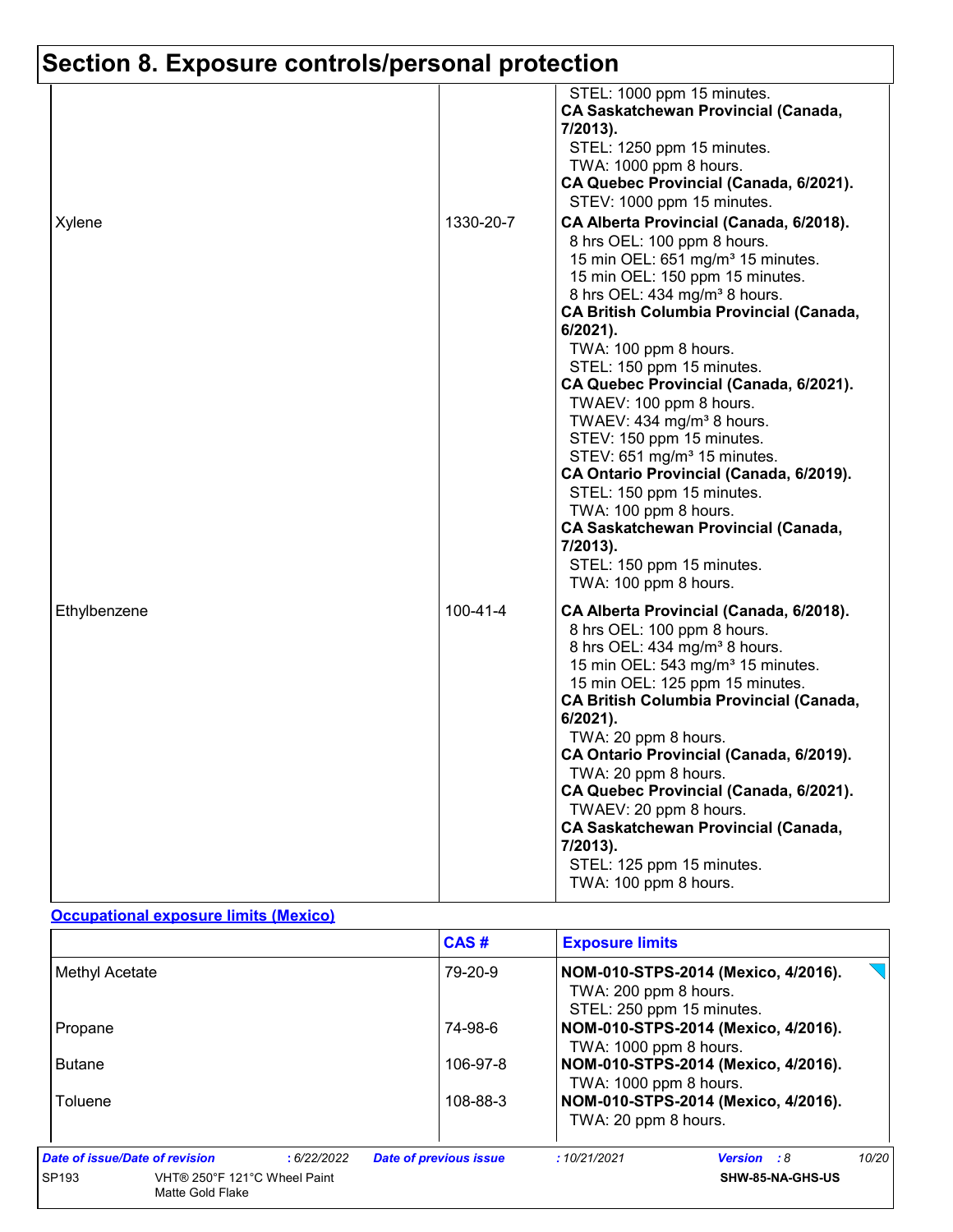# **Section 8. Exposure controls/personal protection**

|              |                | STEL: 1000 ppm 15 minutes.<br><b>CA Saskatchewan Provincial (Canada,</b><br>7/2013).<br>STEL: 1250 ppm 15 minutes.<br>TWA: 1000 ppm 8 hours.<br>CA Quebec Provincial (Canada, 6/2021).<br>STEV: 1000 ppm 15 minutes.                                                                                                                                                                                                                                                                                                                                                                                                                                                                                                               |
|--------------|----------------|------------------------------------------------------------------------------------------------------------------------------------------------------------------------------------------------------------------------------------------------------------------------------------------------------------------------------------------------------------------------------------------------------------------------------------------------------------------------------------------------------------------------------------------------------------------------------------------------------------------------------------------------------------------------------------------------------------------------------------|
| Xylene       | 1330-20-7      | CA Alberta Provincial (Canada, 6/2018).<br>8 hrs OEL: 100 ppm 8 hours.<br>15 min OEL: 651 mg/m <sup>3</sup> 15 minutes.<br>15 min OEL: 150 ppm 15 minutes.<br>8 hrs OEL: 434 mg/m <sup>3</sup> 8 hours.<br><b>CA British Columbia Provincial (Canada,</b><br>6/2021).<br>TWA: 100 ppm 8 hours.<br>STEL: 150 ppm 15 minutes.<br>CA Quebec Provincial (Canada, 6/2021).<br>TWAEV: 100 ppm 8 hours.<br>TWAEV: 434 mg/m <sup>3</sup> 8 hours.<br>STEV: 150 ppm 15 minutes.<br>STEV: 651 mg/m <sup>3</sup> 15 minutes.<br>CA Ontario Provincial (Canada, 6/2019).<br>STEL: 150 ppm 15 minutes.<br>TWA: 100 ppm 8 hours.<br><b>CA Saskatchewan Provincial (Canada,</b><br>7/2013).<br>STEL: 150 ppm 15 minutes.<br>TWA: 100 ppm 8 hours. |
| Ethylbenzene | $100 - 41 - 4$ | CA Alberta Provincial (Canada, 6/2018).<br>8 hrs OEL: 100 ppm 8 hours.<br>8 hrs OEL: 434 mg/m <sup>3</sup> 8 hours.<br>15 min OEL: 543 mg/m <sup>3</sup> 15 minutes.<br>15 min OEL: 125 ppm 15 minutes.<br><b>CA British Columbia Provincial (Canada,</b><br>6/2021).<br>TWA: 20 ppm 8 hours.<br>CA Ontario Provincial (Canada, 6/2019).<br>TWA: 20 ppm 8 hours.<br>CA Quebec Provincial (Canada, 6/2021).<br>TWAEV: 20 ppm 8 hours.<br>CA Saskatchewan Provincial (Canada,<br>7/2013).<br>STEL: 125 ppm 15 minutes.<br>TWA: 100 ppm 8 hours.                                                                                                                                                                                      |

#### **Occupational exposure limits (Mexico)**

|                                                           | CAS#                          | <b>Exposure limits</b>                                                                    |
|-----------------------------------------------------------|-------------------------------|-------------------------------------------------------------------------------------------|
| Methyl Acetate                                            | 79-20-9                       | NOM-010-STPS-2014 (Mexico, 4/2016).<br>TWA: 200 ppm 8 hours.<br>STEL: 250 ppm 15 minutes. |
| Propane                                                   | 74-98-6                       | NOM-010-STPS-2014 (Mexico, 4/2016).<br>TWA: 1000 ppm 8 hours.                             |
| <b>Butane</b>                                             | 106-97-8                      | NOM-010-STPS-2014 (Mexico, 4/2016).<br>TWA: 1000 ppm 8 hours.                             |
| Toluene                                                   | 108-88-3                      | NOM-010-STPS-2014 (Mexico, 4/2016).<br>TWA: 20 ppm 8 hours.                               |
| Date of issue/Date of revision<br>:6/22/2022              | <b>Date of previous issue</b> | 10/20<br>:10/21/2021<br><b>Version</b> : 8                                                |
| SP193<br>VHT® 250°F 121°C Wheel Paint<br>Matte Gold Flake |                               | SHW-85-NA-GHS-US                                                                          |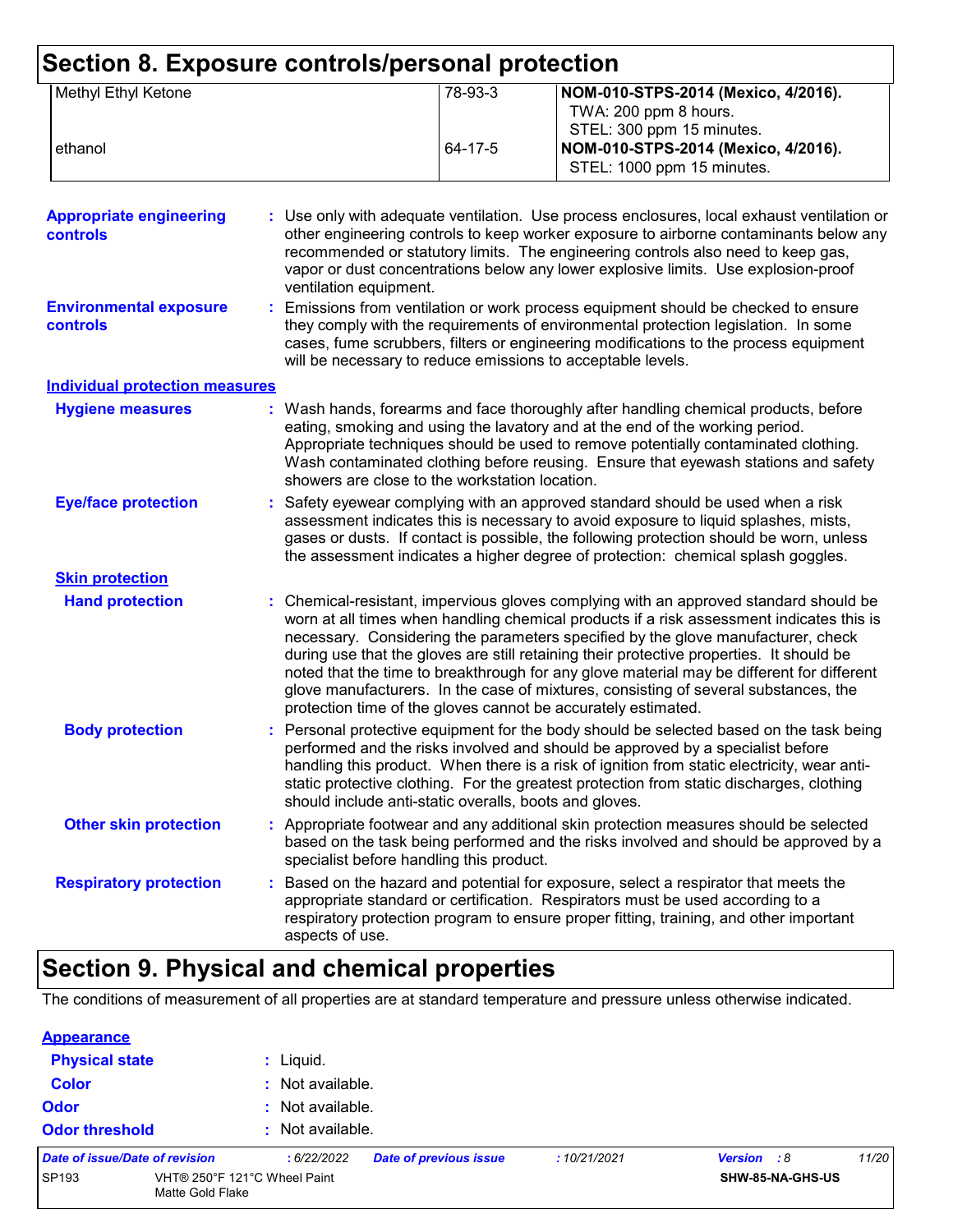| Section 8. Exposure controls/personal protection<br>Methyl Ethyl Ketone |  |                                                        | 78-93-3                                                      |                                                                                                                                                                                                                                                                                                                                                                                                                                                                                                                                                                                                                      |
|-------------------------------------------------------------------------|--|--------------------------------------------------------|--------------------------------------------------------------|----------------------------------------------------------------------------------------------------------------------------------------------------------------------------------------------------------------------------------------------------------------------------------------------------------------------------------------------------------------------------------------------------------------------------------------------------------------------------------------------------------------------------------------------------------------------------------------------------------------------|
|                                                                         |  |                                                        | NOM-010-STPS-2014 (Mexico, 4/2016).<br>TWA: 200 ppm 8 hours. |                                                                                                                                                                                                                                                                                                                                                                                                                                                                                                                                                                                                                      |
|                                                                         |  |                                                        |                                                              | STEL: 300 ppm 15 minutes.                                                                                                                                                                                                                                                                                                                                                                                                                                                                                                                                                                                            |
| ethanol                                                                 |  |                                                        | 64-17-5                                                      | NOM-010-STPS-2014 (Mexico, 4/2016).                                                                                                                                                                                                                                                                                                                                                                                                                                                                                                                                                                                  |
|                                                                         |  |                                                        |                                                              | STEL: 1000 ppm 15 minutes.                                                                                                                                                                                                                                                                                                                                                                                                                                                                                                                                                                                           |
|                                                                         |  |                                                        |                                                              |                                                                                                                                                                                                                                                                                                                                                                                                                                                                                                                                                                                                                      |
| <b>Appropriate engineering</b><br><b>controls</b>                       |  | ventilation equipment.                                 |                                                              | : Use only with adequate ventilation. Use process enclosures, local exhaust ventilation or<br>other engineering controls to keep worker exposure to airborne contaminants below any<br>recommended or statutory limits. The engineering controls also need to keep gas,<br>vapor or dust concentrations below any lower explosive limits. Use explosion-proof                                                                                                                                                                                                                                                        |
| <b>Environmental exposure</b><br>controls                               |  |                                                        |                                                              | Emissions from ventilation or work process equipment should be checked to ensure<br>they comply with the requirements of environmental protection legislation. In some<br>cases, fume scrubbers, filters or engineering modifications to the process equipment<br>will be necessary to reduce emissions to acceptable levels.                                                                                                                                                                                                                                                                                        |
| <b>Individual protection measures</b>                                   |  |                                                        |                                                              |                                                                                                                                                                                                                                                                                                                                                                                                                                                                                                                                                                                                                      |
| <b>Hygiene measures</b>                                                 |  | showers are close to the workstation location.         |                                                              | Wash hands, forearms and face thoroughly after handling chemical products, before<br>eating, smoking and using the lavatory and at the end of the working period.<br>Appropriate techniques should be used to remove potentially contaminated clothing.<br>Wash contaminated clothing before reusing. Ensure that eyewash stations and safety                                                                                                                                                                                                                                                                        |
| <b>Eye/face protection</b>                                              |  |                                                        |                                                              | Safety eyewear complying with an approved standard should be used when a risk<br>assessment indicates this is necessary to avoid exposure to liquid splashes, mists,<br>gases or dusts. If contact is possible, the following protection should be worn, unless<br>the assessment indicates a higher degree of protection: chemical splash goggles.                                                                                                                                                                                                                                                                  |
| <b>Skin protection</b>                                                  |  |                                                        |                                                              |                                                                                                                                                                                                                                                                                                                                                                                                                                                                                                                                                                                                                      |
| <b>Hand protection</b>                                                  |  |                                                        |                                                              | Chemical-resistant, impervious gloves complying with an approved standard should be<br>worn at all times when handling chemical products if a risk assessment indicates this is<br>necessary. Considering the parameters specified by the glove manufacturer, check<br>during use that the gloves are still retaining their protective properties. It should be<br>noted that the time to breakthrough for any glove material may be different for different<br>glove manufacturers. In the case of mixtures, consisting of several substances, the<br>protection time of the gloves cannot be accurately estimated. |
| <b>Body protection</b>                                                  |  | should include anti-static overalls, boots and gloves. |                                                              | Personal protective equipment for the body should be selected based on the task being<br>performed and the risks involved and should be approved by a specialist before<br>handling this product. When there is a risk of ignition from static electricity, wear anti-<br>static protective clothing. For the greatest protection from static discharges, clothing                                                                                                                                                                                                                                                   |
| <b>Other skin protection</b>                                            |  | specialist before handling this product.               |                                                              | Appropriate footwear and any additional skin protection measures should be selected<br>based on the task being performed and the risks involved and should be approved by a                                                                                                                                                                                                                                                                                                                                                                                                                                          |
| <b>Respiratory protection</b>                                           |  | aspects of use.                                        |                                                              | Based on the hazard and potential for exposure, select a respirator that meets the<br>appropriate standard or certification. Respirators must be used according to a<br>respiratory protection program to ensure proper fitting, training, and other important                                                                                                                                                                                                                                                                                                                                                       |

# **Section 9. Physical and chemical properties**

The conditions of measurement of all properties are at standard temperature and pressure unless otherwise indicated.

| <b>Appearance</b>              |                                                  |                  |                               |             |                    |                  |       |
|--------------------------------|--------------------------------------------------|------------------|-------------------------------|-------------|--------------------|------------------|-------|
| <b>Physical state</b>          |                                                  | $:$ Liquid.      |                               |             |                    |                  |       |
| <b>Color</b>                   |                                                  | : Not available. |                               |             |                    |                  |       |
| <b>Odor</b>                    |                                                  | : Not available. |                               |             |                    |                  |       |
| <b>Odor threshold</b>          |                                                  | : Not available. |                               |             |                    |                  |       |
| Date of issue/Date of revision |                                                  | :6/22/2022       | <b>Date of previous issue</b> | :10/21/2021 | <b>Version</b> : 8 |                  | 11/20 |
| SP193                          | VHT® 250°F 121°C Wheel Paint<br>Matte Gold Flake |                  |                               |             |                    | SHW-85-NA-GHS-US |       |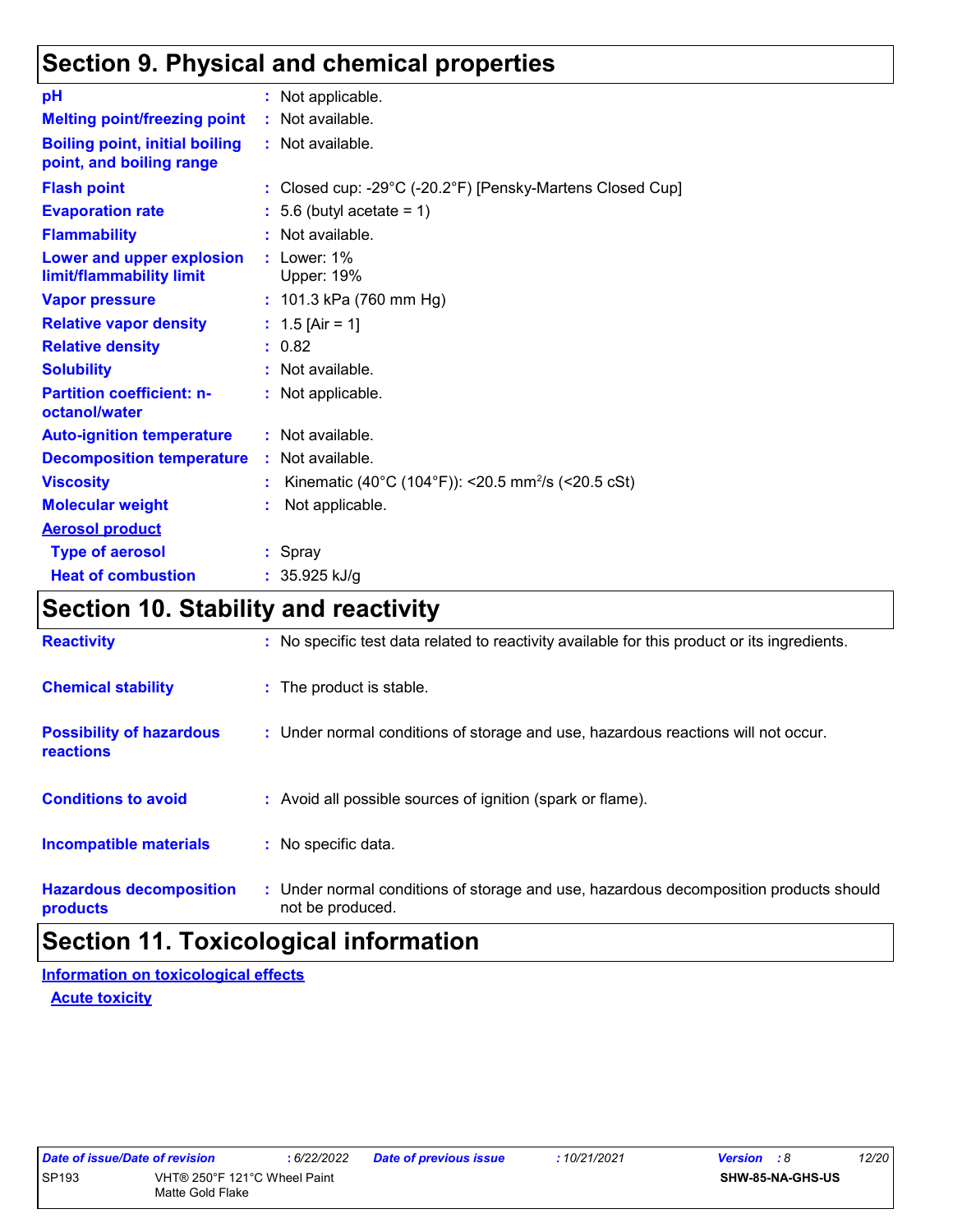## **Section 9. Physical and chemical properties**

| рH                                                                | : Not applicable.                                              |
|-------------------------------------------------------------------|----------------------------------------------------------------|
| <b>Melting point/freezing point</b>                               | : Not available.                                               |
| <b>Boiling point, initial boiling</b><br>point, and boiling range | : Not available.                                               |
| <b>Flash point</b>                                                | : Closed cup: -29°C (-20.2°F) [Pensky-Martens Closed Cup]      |
| <b>Evaporation rate</b>                                           | $: 5.6$ (butyl acetate = 1)                                    |
| <b>Flammability</b>                                               | : Not available.                                               |
| Lower and upper explosion<br>limit/flammability limit             | $:$ Lower: 1%<br><b>Upper: 19%</b>                             |
| <b>Vapor pressure</b>                                             | : $101.3$ kPa (760 mm Hg)                                      |
| <b>Relative vapor density</b>                                     | : $1.5$ [Air = 1]                                              |
| <b>Relative density</b>                                           | : 0.82                                                         |
| <b>Solubility</b>                                                 | : Not available.                                               |
| <b>Partition coefficient: n-</b><br>octanol/water                 | : Not applicable.                                              |
| <b>Auto-ignition temperature</b>                                  | : Not available.                                               |
| <b>Decomposition temperature</b>                                  | : Not available.                                               |
| <b>Viscosity</b>                                                  | Kinematic (40°C (104°F)): <20.5 mm <sup>2</sup> /s (<20.5 cSt) |
| <b>Molecular weight</b>                                           | Not applicable.                                                |
| <b>Aerosol product</b>                                            |                                                                |
| <b>Type of aerosol</b>                                            | : Spray                                                        |
| <b>Heat of combustion</b>                                         | : $35.925$ kJ/g                                                |

## **Section 10. Stability and reactivity**

| <b>Reactivity</b>                            | : No specific test data related to reactivity available for this product or its ingredients.              |  |
|----------------------------------------------|-----------------------------------------------------------------------------------------------------------|--|
| <b>Chemical stability</b>                    | : The product is stable.                                                                                  |  |
| <b>Possibility of hazardous</b><br>reactions | : Under normal conditions of storage and use, hazardous reactions will not occur.                         |  |
| <b>Conditions to avoid</b>                   | : Avoid all possible sources of ignition (spark or flame).                                                |  |
| <b>Incompatible materials</b>                | : No specific data.                                                                                       |  |
| <b>Hazardous decomposition</b><br>products   | : Under normal conditions of storage and use, hazardous decomposition products should<br>not be produced. |  |

## **Section 11. Toxicological information**

**Acute toxicity Information on toxicological effects**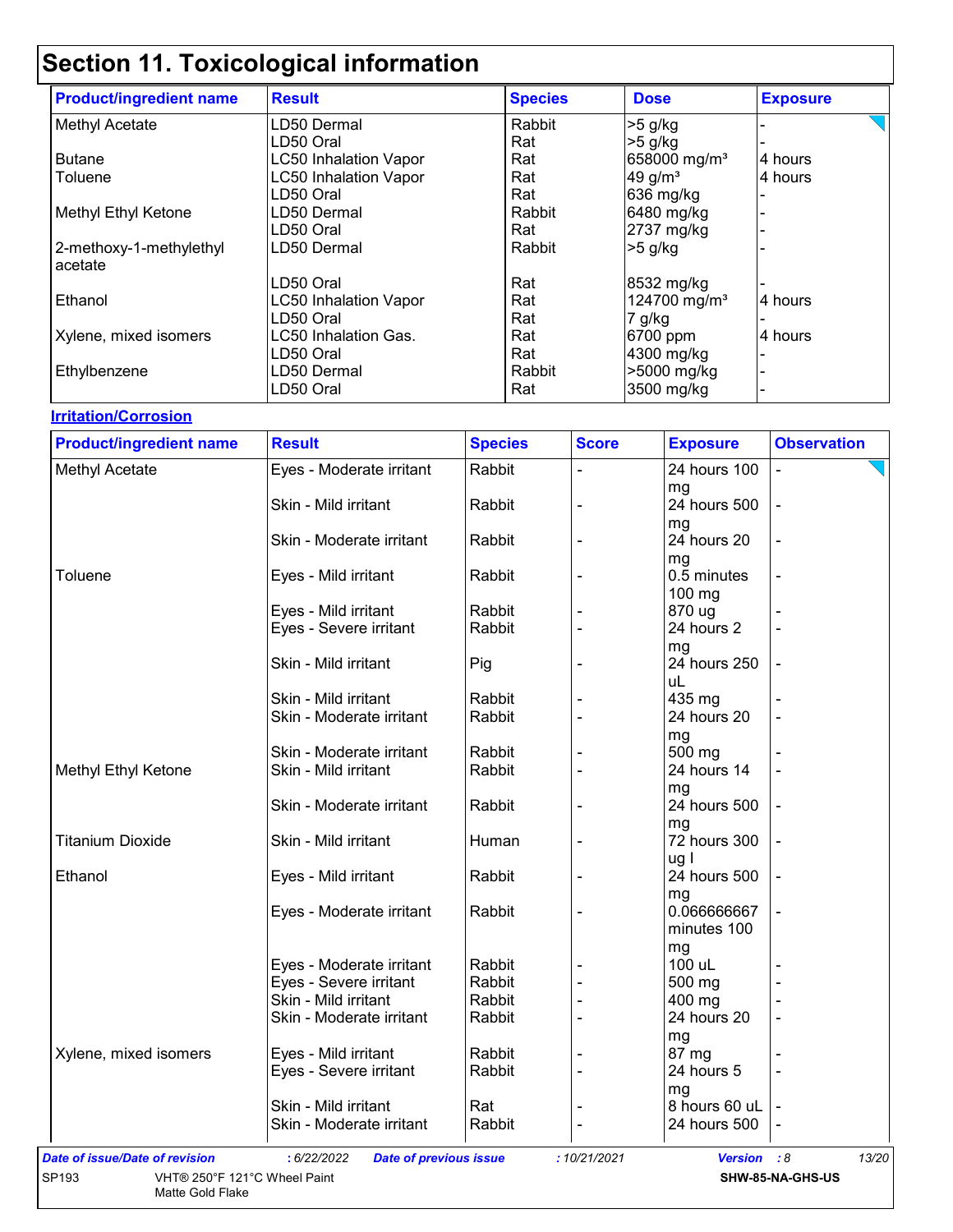| <b>Product/ingredient name</b> | <b>Result</b>                | <b>Species</b> | <b>Dose</b>              | <b>Exposure</b> |
|--------------------------------|------------------------------|----------------|--------------------------|-----------------|
| Methyl Acetate                 | LD50 Dermal                  | Rabbit         | $>5$ g/kg                |                 |
|                                | LD50 Oral                    | Rat            | $>5$ g/kg                |                 |
| <b>Butane</b>                  | <b>LC50 Inhalation Vapor</b> | Rat            | 658000 mg/m <sup>3</sup> | 4 hours         |
| Toluene                        | <b>LC50 Inhalation Vapor</b> | Rat            | 49 g/ $m3$               | 4 hours         |
|                                | LD50 Oral                    | Rat            | 636 mg/kg                |                 |
| Methyl Ethyl Ketone            | LD50 Dermal                  | Rabbit         | 6480 mg/kg               |                 |
|                                | LD50 Oral                    | Rat            | 2737 mg/kg               |                 |
| 2-methoxy-1-methylethyl        | LD50 Dermal                  | Rabbit         | $>5$ g/kg                |                 |
| acetate                        |                              |                |                          |                 |
|                                | LD50 Oral                    | Rat            | 8532 mg/kg               |                 |
| Ethanol                        | <b>LC50 Inhalation Vapor</b> | Rat            | 124700 mg/m <sup>3</sup> | 4 hours         |
|                                | LD50 Oral                    | Rat            | 7 g/kg                   |                 |
| Xylene, mixed isomers          | LC50 Inhalation Gas.         | Rat            | 6700 ppm                 | 4 hours         |
|                                | LD50 Oral                    | Rat            | 4300 mg/kg               |                 |
| Ethylbenzene                   | LD50 Dermal                  | Rabbit         | >5000 mg/kg              |                 |
|                                | LD50 Oral                    | Rat            | 3500 mg/kg               |                 |

**Irritation/Corrosion**

| <b>Product/ingredient name</b>        | <b>Result</b>                                  | <b>Species</b>   | <b>Score</b> | <b>Exposure</b>    | <b>Observation</b> |
|---------------------------------------|------------------------------------------------|------------------|--------------|--------------------|--------------------|
| Methyl Acetate                        | Eyes - Moderate irritant                       | Rabbit           |              | 24 hours 100       |                    |
|                                       | Skin - Mild irritant                           | Rabbit           |              | mg<br>24 hours 500 |                    |
|                                       | Skin - Moderate irritant                       | Rabbit           |              | mg<br>24 hours 20  | ÷,                 |
|                                       |                                                |                  |              | mg                 |                    |
| Toluene                               | Eyes - Mild irritant                           | Rabbit           |              | 0.5 minutes        | $\blacksquare$     |
|                                       |                                                |                  |              | 100 mg             |                    |
|                                       | Eyes - Mild irritant                           | Rabbit           |              | 870 ug             |                    |
|                                       | Eyes - Severe irritant                         | Rabbit           |              | 24 hours 2         |                    |
|                                       | Skin - Mild irritant                           | Pig              |              | mg<br>24 hours 250 |                    |
|                                       |                                                |                  |              | uL                 |                    |
|                                       | Skin - Mild irritant                           | Rabbit           |              | 435 mg             |                    |
|                                       | Skin - Moderate irritant                       | Rabbit           |              | 24 hours 20        | $\blacksquare$     |
|                                       |                                                |                  |              | mg                 |                    |
|                                       | Skin - Moderate irritant                       | Rabbit           |              | 500 mg             |                    |
| Methyl Ethyl Ketone                   | Skin - Mild irritant                           | Rabbit           |              | 24 hours 14        |                    |
|                                       | Skin - Moderate irritant                       | Rabbit           |              | mg<br>24 hours 500 |                    |
|                                       |                                                |                  |              | mg                 |                    |
| <b>Titanium Dioxide</b>               | Skin - Mild irritant                           | Human            |              | 72 hours 300       |                    |
|                                       |                                                |                  |              | ug l               |                    |
| Ethanol                               | Eyes - Mild irritant                           | Rabbit           |              | 24 hours 500       |                    |
|                                       |                                                |                  |              | mg                 |                    |
|                                       | Eyes - Moderate irritant                       | Rabbit           |              | 0.066666667        |                    |
|                                       |                                                |                  |              | minutes 100        |                    |
|                                       |                                                |                  |              | mg                 |                    |
|                                       | Eyes - Moderate irritant                       | Rabbit           |              | 100 uL             |                    |
|                                       | Eyes - Severe irritant<br>Skin - Mild irritant | Rabbit<br>Rabbit |              | 500 mg<br>400 mg   |                    |
|                                       | Skin - Moderate irritant                       | Rabbit           |              | 24 hours 20        |                    |
|                                       |                                                |                  |              | mg                 |                    |
| Xylene, mixed isomers                 | Eyes - Mild irritant                           | Rabbit           |              | 87 mg              |                    |
|                                       | Eyes - Severe irritant                         | Rabbit           |              | 24 hours 5         |                    |
|                                       |                                                |                  |              | mg                 |                    |
|                                       | Skin - Mild irritant                           | Rat              |              | 8 hours 60 uL      |                    |
|                                       | Skin - Moderate irritant                       | Rabbit           |              | 24 hours 500       |                    |
| <b>Date of issue/Date of revision</b> | : 6/22/2022<br><b>Date of previous issue</b>   |                  | : 10/21/2021 | <b>Version</b>     | 13/20<br>:8        |
| SP193<br>VHT® 250°F 121°C Wheel Paint |                                                |                  |              |                    | SHW-85-NA-GHS-US   |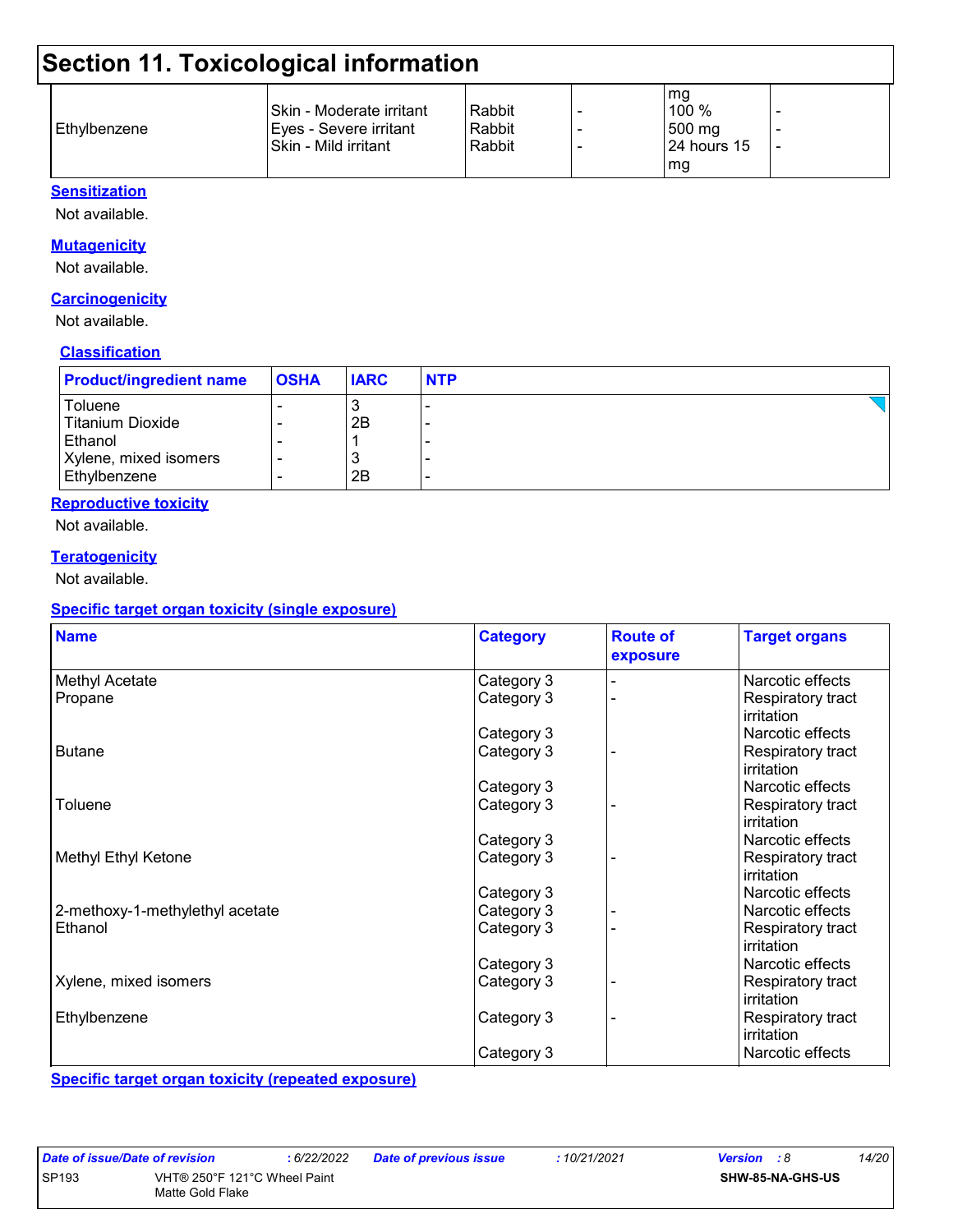| Ethylbenzene | Skin - Moderate irritant<br> Eyes - Severe irritant<br>ISkin - Mild irritant | Rabbit<br>Rabbit<br>Rabbit |  | mg<br>100%<br>500 mg<br>$24$ hours 15<br>mg |  |
|--------------|------------------------------------------------------------------------------|----------------------------|--|---------------------------------------------|--|
|--------------|------------------------------------------------------------------------------|----------------------------|--|---------------------------------------------|--|

#### **Sensitization**

Not available.

#### **Mutagenicity**

Not available.

#### **Carcinogenicity**

Not available.

#### **Classification**

| <b>Product/ingredient name</b> | <b>OSHA</b> | <b>IARC</b> | <b>NTP</b> |
|--------------------------------|-------------|-------------|------------|
| Toluene                        |             | J           |            |
| Titanium Dioxide               |             | 2B          | -          |
| Ethanol                        |             |             |            |
| Xylene, mixed isomers          |             |             |            |
| Ethylbenzene                   |             | 2B          |            |

#### **Reproductive toxicity**

Not available.

#### **Teratogenicity**

Not available.

#### **Specific target organ toxicity (single exposure)**

| <b>Name</b>                     | <b>Category</b> | <b>Route of</b><br>exposure | <b>Target organs</b>            |
|---------------------------------|-----------------|-----------------------------|---------------------------------|
| Methyl Acetate                  | Category 3      |                             | Narcotic effects                |
| Propane                         | Category 3      |                             | Respiratory tract<br>irritation |
|                                 | Category 3      |                             | Narcotic effects                |
| <b>Butane</b>                   | Category 3      |                             | Respiratory tract<br>irritation |
|                                 | Category 3      |                             | Narcotic effects                |
| Toluene                         | Category 3      |                             | Respiratory tract<br>irritation |
|                                 | Category 3      |                             | Narcotic effects                |
| Methyl Ethyl Ketone             | Category 3      |                             | Respiratory tract<br>irritation |
|                                 | Category 3      |                             | Narcotic effects                |
| 2-methoxy-1-methylethyl acetate | Category 3      |                             | Narcotic effects                |
| Ethanol                         | Category 3      |                             | Respiratory tract<br>irritation |
|                                 | Category 3      |                             | Narcotic effects                |
| Xylene, mixed isomers           | Category 3      |                             | Respiratory tract<br>irritation |
| Ethylbenzene                    | Category 3      |                             | Respiratory tract<br>irritation |
|                                 | Category 3      |                             | Narcotic effects                |

**Specific target organ toxicity (repeated exposure)**

| Date of issue/Date of revision |                              | :6/22/2022 |
|--------------------------------|------------------------------|------------|
| SP <sub>193</sub>              | VHT® 250°F 121°C Wheel Paint |            |
| Matte Gold Flake               |                              |            |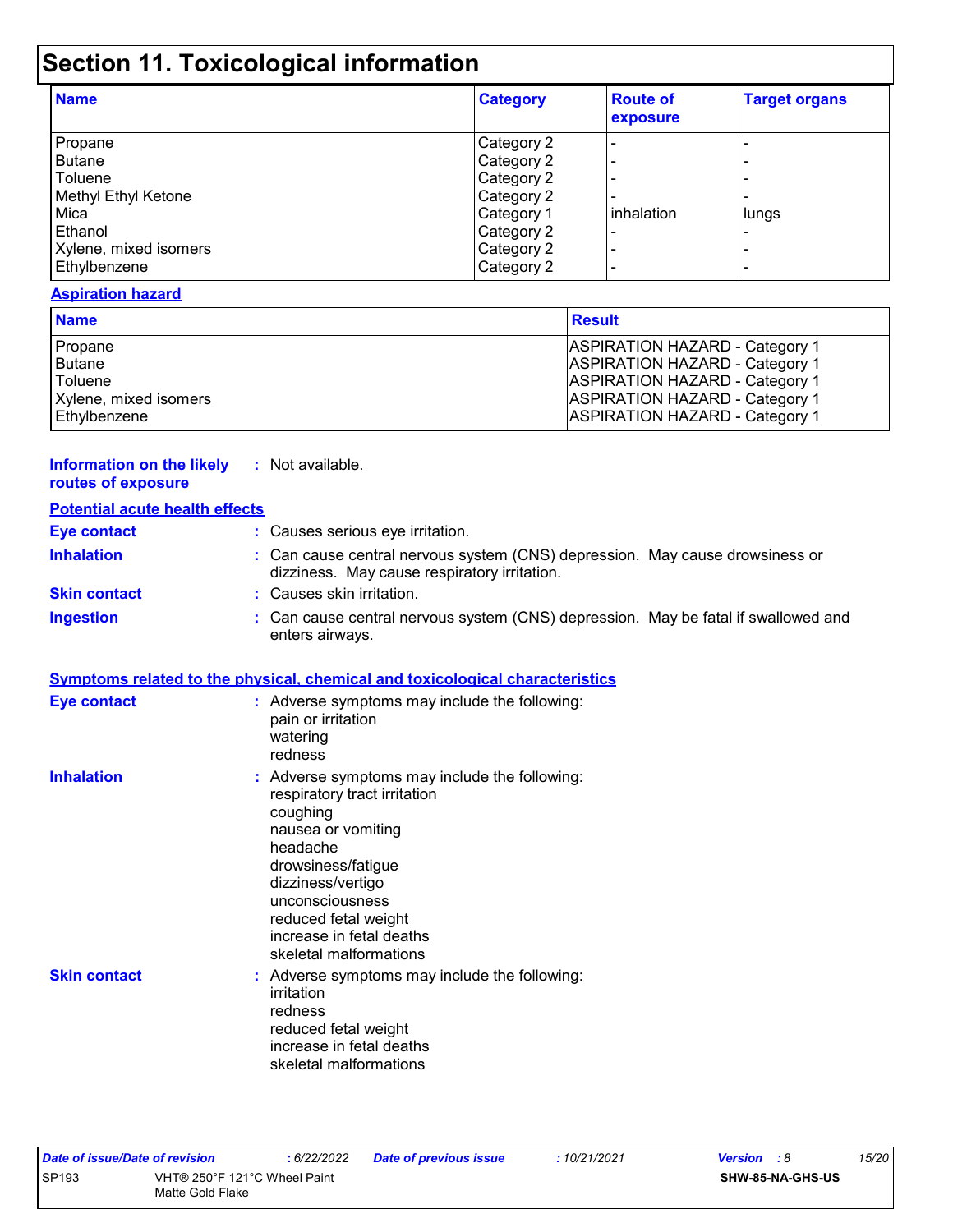| <b>Name</b>           | <b>Category</b> | <b>Route of</b><br>exposure | <b>Target organs</b>     |
|-----------------------|-----------------|-----------------------------|--------------------------|
| Propane               | Category 2      |                             |                          |
| <b>Butane</b>         | Category 2      |                             | $\overline{\phantom{0}}$ |
| Toluene               | Category 2      |                             | $\overline{\phantom{0}}$ |
| Methyl Ethyl Ketone   | Category 2      |                             | $\overline{\phantom{0}}$ |
| Mica                  | Category 1      | inhalation                  | lungs                    |
| Ethanol               | Category 2      |                             | $\overline{\phantom{0}}$ |
| Xylene, mixed isomers | Category 2      |                             | -                        |
| Ethylbenzene          | Category 2      |                             | $\overline{\phantom{0}}$ |

#### **Aspiration hazard**

| <b>Name</b>           | <b>Result</b>                         |
|-----------------------|---------------------------------------|
| Propane               | <b>ASPIRATION HAZARD - Category 1</b> |
| Butane                | <b>ASPIRATION HAZARD - Category 1</b> |
| Toluene               | <b>ASPIRATION HAZARD - Category 1</b> |
| Xylene, mixed isomers | <b>ASPIRATION HAZARD - Category 1</b> |
| Ethylbenzene          | <b>ASPIRATION HAZARD - Category 1</b> |

#### **Information on the likely routes of exposure**

| Not available. |
|----------------|
|----------------|

| <b>Potential acute health effects</b> |                                                                                                                                                                                                                                                                         |
|---------------------------------------|-------------------------------------------------------------------------------------------------------------------------------------------------------------------------------------------------------------------------------------------------------------------------|
| <b>Eye contact</b>                    | : Causes serious eye irritation.                                                                                                                                                                                                                                        |
| <b>Inhalation</b>                     | : Can cause central nervous system (CNS) depression. May cause drowsiness or<br>dizziness. May cause respiratory irritation.                                                                                                                                            |
| <b>Skin contact</b>                   | : Causes skin irritation.                                                                                                                                                                                                                                               |
| <b>Ingestion</b>                      | : Can cause central nervous system (CNS) depression. May be fatal if swallowed and<br>enters airways.                                                                                                                                                                   |
|                                       | <b>Symptoms related to the physical, chemical and toxicological characteristics</b>                                                                                                                                                                                     |
| <b>Eye contact</b>                    | : Adverse symptoms may include the following:<br>pain or irritation<br>watering<br>redness                                                                                                                                                                              |
| <b>Inhalation</b>                     | : Adverse symptoms may include the following:<br>respiratory tract irritation<br>coughing<br>nausea or vomiting<br>headache<br>drowsiness/fatigue<br>dizziness/vertigo<br>unconsciousness<br>reduced fetal weight<br>increase in fetal deaths<br>skeletal malformations |
| <b>Skin contact</b>                   | : Adverse symptoms may include the following:<br>irritation<br>redness<br>reduced fetal weight<br>increase in fetal deaths<br>skeletal malformations                                                                                                                    |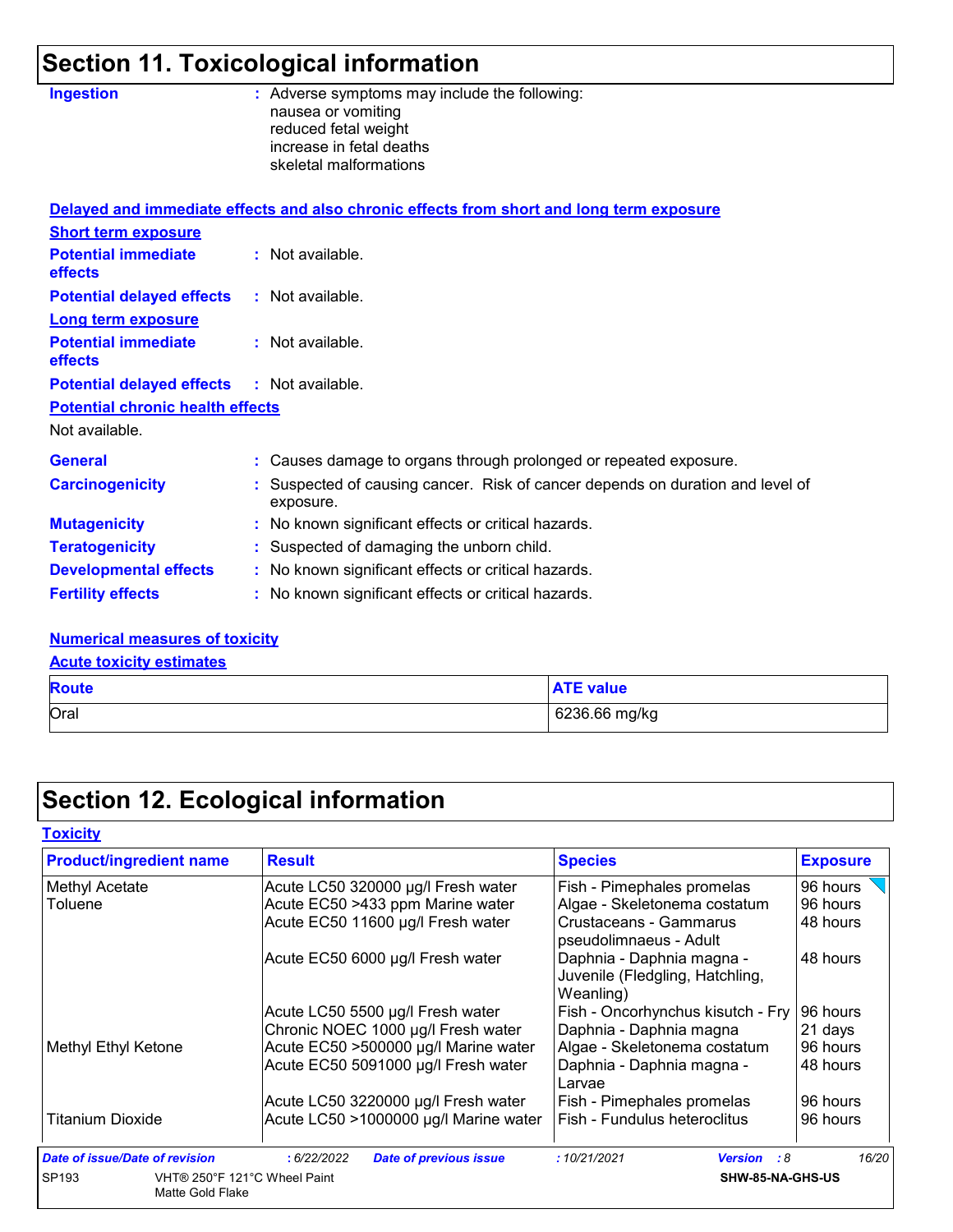| <b>Ingestion</b>                        | : Adverse symptoms may include the following:<br>nausea or vomiting<br>reduced fetal weight<br>increase in fetal deaths |
|-----------------------------------------|-------------------------------------------------------------------------------------------------------------------------|
|                                         | skeletal malformations                                                                                                  |
|                                         | Delayed and immediate effects and also chronic effects from short and long term exposure                                |
| <b>Short term exposure</b>              |                                                                                                                         |
| <b>Potential immediate</b><br>effects   | : Not available.                                                                                                        |
| <b>Potential delayed effects</b>        | : Not available.                                                                                                        |
| <b>Long term exposure</b>               |                                                                                                                         |
| <b>Potential immediate</b><br>effects   | : Not available.                                                                                                        |
| <b>Potential delayed effects</b>        | : Not available.                                                                                                        |
| <b>Potential chronic health effects</b> |                                                                                                                         |
| Not available.                          |                                                                                                                         |
| <b>General</b>                          | : Causes damage to organs through prolonged or repeated exposure.                                                       |
| <b>Carcinogenicity</b>                  | Suspected of causing cancer. Risk of cancer depends on duration and level of<br>exposure.                               |
| <b>Mutagenicity</b>                     | : No known significant effects or critical hazards.                                                                     |
| <b>Teratogenicity</b>                   | : Suspected of damaging the unborn child.                                                                               |
| <b>Developmental effects</b>            | : No known significant effects or critical hazards.                                                                     |
| <b>Fertility effects</b>                | : No known significant effects or critical hazards.                                                                     |

#### **Numerical measures of toxicity**

**Acute toxicity estimates**

| <b>Route</b> | <b>ATE value</b> |
|--------------|------------------|
| Oral         | 6236.66 mg/kg    |

# **Section 12. Ecological information**

**Toxicity**

| <b>Product/ingredient name</b>               | <b>Result</b>                               | <b>Species</b>                                                            | <b>Exposure</b> |
|----------------------------------------------|---------------------------------------------|---------------------------------------------------------------------------|-----------------|
| Methyl Acetate                               | Acute LC50 320000 µg/l Fresh water          | Fish - Pimephales promelas                                                | 96 hours        |
| Toluene                                      | Acute EC50 >433 ppm Marine water            | Algae - Skeletonema costatum                                              | 96 hours        |
|                                              | Acute EC50 11600 µg/l Fresh water           | Crustaceans - Gammarus<br>pseudolimnaeus - Adult                          | 48 hours        |
|                                              | Acute EC50 6000 µg/l Fresh water            | Daphnia - Daphnia magna -<br>Juvenile (Fledgling, Hatchling,<br>Weanling) | 48 hours        |
|                                              | Acute LC50 5500 µg/l Fresh water            | Fish - Oncorhynchus kisutch - Fry                                         | 196 hours       |
|                                              | Chronic NOEC 1000 µg/l Fresh water          | Daphnia - Daphnia magna                                                   | 21 days         |
| Methyl Ethyl Ketone                          | Acute EC50 >500000 µg/l Marine water        | Algae - Skeletonema costatum                                              | 96 hours        |
|                                              | Acute EC50 5091000 µg/l Fresh water         | Daphnia - Daphnia magna -<br>Larvae                                       | 48 hours        |
|                                              | Acute LC50 3220000 µg/l Fresh water         | Fish - Pimephales promelas                                                | 96 hours        |
| <b>Titanium Dioxide</b>                      | Acute LC50 >1000000 µg/l Marine water       | Fish - Fundulus heteroclitus                                              | 96 hours        |
| Date of issue/Date of revision               | :6/22/2022<br><b>Date of previous issue</b> | :10/21/2021<br><b>Version</b> : 8                                         | 16/20           |
| SP <sub>193</sub><br><b>Matte Gold Flake</b> | VHT® 250°F 121°C Wheel Paint                | SHW-85-NA-GHS-US                                                          |                 |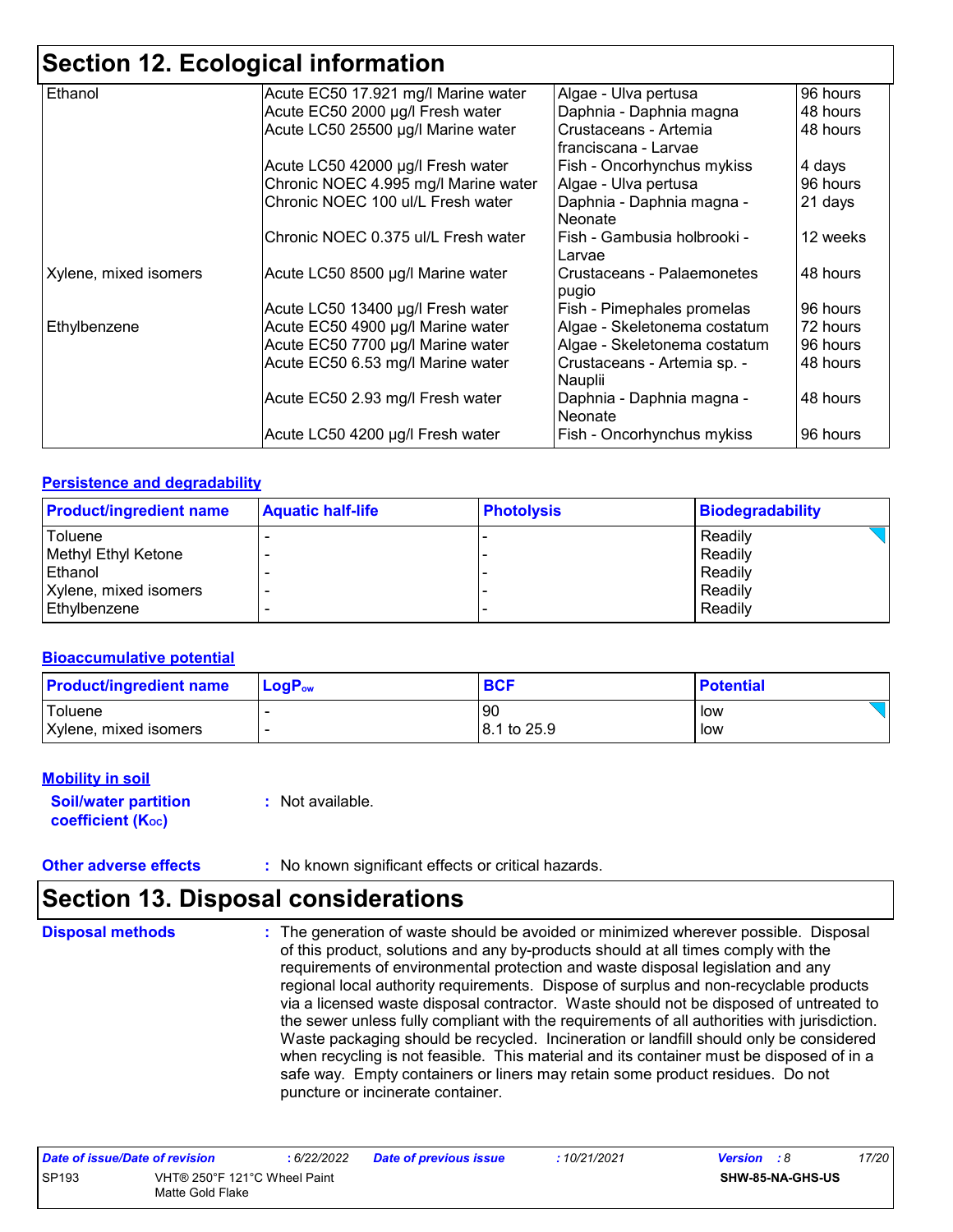| Ethanol               | Acute EC50 17.921 mg/l Marine water  | Algae - Ulva pertusa         | 96 hours |
|-----------------------|--------------------------------------|------------------------------|----------|
|                       | Acute EC50 2000 µg/l Fresh water     | Daphnia - Daphnia magna      | 48 hours |
|                       | Acute LC50 25500 µg/l Marine water   | Crustaceans - Artemia        | 48 hours |
|                       |                                      | franciscana - Larvae         |          |
|                       | Acute LC50 42000 µg/l Fresh water    | Fish - Oncorhynchus mykiss   | 4 days   |
|                       | Chronic NOEC 4.995 mg/l Marine water | Algae - Ulva pertusa         | 96 hours |
|                       | Chronic NOEC 100 ul/L Fresh water    | Daphnia - Daphnia magna -    | 21 days  |
|                       |                                      | Neonate                      |          |
|                       | Chronic NOEC 0.375 ul/L Fresh water  | Fish - Gambusia holbrooki -  | 12 weeks |
|                       |                                      | Larvae                       |          |
| Xylene, mixed isomers | Acute LC50 8500 µg/l Marine water    | Crustaceans - Palaemonetes   | 48 hours |
|                       |                                      | pugio                        |          |
|                       | Acute LC50 13400 µg/l Fresh water    | Fish - Pimephales promelas   | 96 hours |
| Ethylbenzene          | Acute EC50 4900 µg/l Marine water    | Algae - Skeletonema costatum | 72 hours |
|                       | Acute EC50 7700 µg/l Marine water    | Algae - Skeletonema costatum | 96 hours |
|                       | Acute EC50 6.53 mg/l Marine water    | Crustaceans - Artemia sp. -  | 48 hours |
|                       |                                      | Nauplii                      |          |
|                       | Acute EC50 2.93 mg/l Fresh water     | Daphnia - Daphnia magna -    | 48 hours |
|                       |                                      | Neonate                      |          |
|                       | Acute LC50 4200 µg/l Fresh water     | Fish - Oncorhynchus mykiss   | 96 hours |
|                       |                                      |                              |          |

#### **Persistence and degradability**

| <b>Product/ingredient name</b> | <b>Aquatic half-life</b> | <b>Photolysis</b> | <b>Biodegradability</b> |
|--------------------------------|--------------------------|-------------------|-------------------------|
| Toluene                        |                          |                   | Readily                 |
| Methyl Ethyl Ketone            |                          |                   | Readily                 |
| Ethanol                        |                          |                   | Readily                 |
| Xylene, mixed isomers          |                          |                   | Readily                 |
| Ethylbenzene                   |                          |                   | Readily                 |

#### **Bioaccumulative potential**

| <b>Product/ingredient name</b> | <b>LogP</b> <sub>ow</sub> | <b>BCF</b>  | <b>Potential</b> |
|--------------------------------|---------------------------|-------------|------------------|
| Toluene                        |                           | 90          | low              |
| Xylene, mixed isomers          | $\overline{\phantom{a}}$  | 8.1 to 25.9 | low              |

#### **Mobility in soil**

**Soil/water partition coefficient (Koc)** 

**:** Not available.

**Other adverse effects :** No known significant effects or critical hazards.

## **Section 13. Disposal considerations**

**Disposal methods :**

The generation of waste should be avoided or minimized wherever possible. Disposal of this product, solutions and any by-products should at all times comply with the requirements of environmental protection and waste disposal legislation and any regional local authority requirements. Dispose of surplus and non-recyclable products via a licensed waste disposal contractor. Waste should not be disposed of untreated to the sewer unless fully compliant with the requirements of all authorities with jurisdiction. Waste packaging should be recycled. Incineration or landfill should only be considered when recycling is not feasible. This material and its container must be disposed of in a safe way. Empty containers or liners may retain some product residues. Do not puncture or incinerate container.

| Date of issue/Date of revision |                                                  | 6/22/2022 | <b>Date of previous issue</b> | : 10/21/2021 | <b>Version</b> : 8      | 17/20 |
|--------------------------------|--------------------------------------------------|-----------|-------------------------------|--------------|-------------------------|-------|
| SP193                          | VHT® 250°F 121°C Wheel Paint<br>Matte Gold Flake |           |                               |              | <b>SHW-85-NA-GHS-US</b> |       |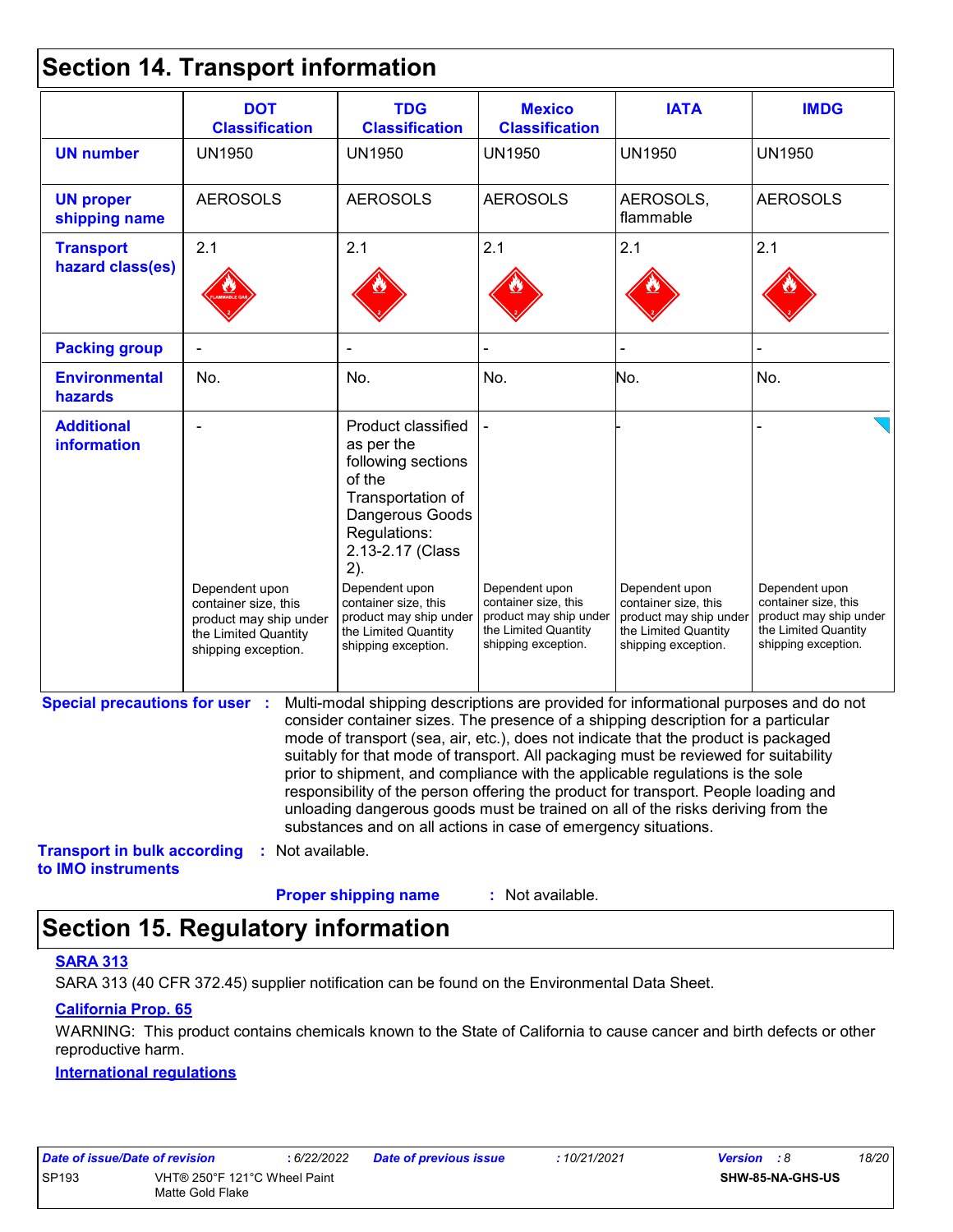### **Section 14. Transport information**

|                                                          | <b>DOT</b><br><b>Classification</b>                                                                             | <b>TDG</b><br><b>Classification</b>                                                                                                                                                                                                                                                                                                                                                                                                                                                                                                                                                                                                                                                 | <b>Mexico</b><br><b>Classification</b>                                                                          | <b>IATA</b>                                                                                                     | <b>IMDG</b>                                                                                                     |
|----------------------------------------------------------|-----------------------------------------------------------------------------------------------------------------|-------------------------------------------------------------------------------------------------------------------------------------------------------------------------------------------------------------------------------------------------------------------------------------------------------------------------------------------------------------------------------------------------------------------------------------------------------------------------------------------------------------------------------------------------------------------------------------------------------------------------------------------------------------------------------------|-----------------------------------------------------------------------------------------------------------------|-----------------------------------------------------------------------------------------------------------------|-----------------------------------------------------------------------------------------------------------------|
| <b>UN number</b>                                         | <b>UN1950</b>                                                                                                   | <b>UN1950</b>                                                                                                                                                                                                                                                                                                                                                                                                                                                                                                                                                                                                                                                                       | <b>UN1950</b>                                                                                                   | <b>UN1950</b>                                                                                                   | <b>UN1950</b>                                                                                                   |
| <b>UN proper</b><br>shipping name                        | <b>AEROSOLS</b>                                                                                                 | <b>AEROSOLS</b>                                                                                                                                                                                                                                                                                                                                                                                                                                                                                                                                                                                                                                                                     | <b>AEROSOLS</b>                                                                                                 | AEROSOLS,<br>flammable                                                                                          | <b>AEROSOLS</b>                                                                                                 |
| <b>Transport</b>                                         | 2.1                                                                                                             | 2.1                                                                                                                                                                                                                                                                                                                                                                                                                                                                                                                                                                                                                                                                                 | 2.1                                                                                                             | 2.1                                                                                                             | 2.1                                                                                                             |
| hazard class(es)                                         |                                                                                                                 |                                                                                                                                                                                                                                                                                                                                                                                                                                                                                                                                                                                                                                                                                     |                                                                                                                 |                                                                                                                 |                                                                                                                 |
| <b>Packing group</b>                                     |                                                                                                                 |                                                                                                                                                                                                                                                                                                                                                                                                                                                                                                                                                                                                                                                                                     |                                                                                                                 |                                                                                                                 |                                                                                                                 |
| <b>Environmental</b><br>hazards                          | No.                                                                                                             | No.                                                                                                                                                                                                                                                                                                                                                                                                                                                                                                                                                                                                                                                                                 | No.                                                                                                             | No.                                                                                                             | No.                                                                                                             |
| <b>Additional</b><br>information                         | Dependent upon<br>container size, this<br>product may ship under<br>the Limited Quantity<br>shipping exception. | Product classified<br>as per the<br>following sections<br>of the<br>Transportation of<br>Dangerous Goods<br>Regulations:<br>2.13-2.17 (Class<br>2).<br>Dependent upon<br>container size, this<br>product may ship under<br>the Limited Quantity<br>shipping exception.                                                                                                                                                                                                                                                                                                                                                                                                              | Dependent upon<br>container size, this<br>product may ship under<br>the Limited Quantity<br>shipping exception. | Dependent upon<br>container size, this<br>product may ship under<br>the Limited Quantity<br>shipping exception. | Dependent upon<br>container size, this<br>product may ship under<br>the Limited Quantity<br>shipping exception. |
| <b>Special precautions for user :</b>                    |                                                                                                                 | Multi-modal shipping descriptions are provided for informational purposes and do not<br>consider container sizes. The presence of a shipping description for a particular<br>mode of transport (sea, air, etc.), does not indicate that the product is packaged<br>suitably for that mode of transport. All packaging must be reviewed for suitability<br>prior to shipment, and compliance with the applicable regulations is the sole<br>responsibility of the person offering the product for transport. People loading and<br>unloading dangerous goods must be trained on all of the risks deriving from the<br>substances and on all actions in case of emergency situations. |                                                                                                                 |                                                                                                                 |                                                                                                                 |
| <b>Transport in bulk according</b><br>to IMO instruments | : Not available.                                                                                                |                                                                                                                                                                                                                                                                                                                                                                                                                                                                                                                                                                                                                                                                                     |                                                                                                                 |                                                                                                                 |                                                                                                                 |
|                                                          |                                                                                                                 | <b>Proper shipping name</b>                                                                                                                                                                                                                                                                                                                                                                                                                                                                                                                                                                                                                                                         | : Not available.                                                                                                |                                                                                                                 |                                                                                                                 |

## **Section 15. Regulatory information**

#### **SARA 313**

SARA 313 (40 CFR 372.45) supplier notification can be found on the Environmental Data Sheet.

#### **California Prop. 65**

WARNING: This product contains chemicals known to the State of California to cause cancer and birth defects or other reproductive harm.

#### **International regulations**

| Date of issue/Date of revision | :6/22/20                     |  |
|--------------------------------|------------------------------|--|
| SP <sub>193</sub>              | VHT® 250°F 121°C Wheel Paint |  |
|                                | Matte Gold Flake             |  |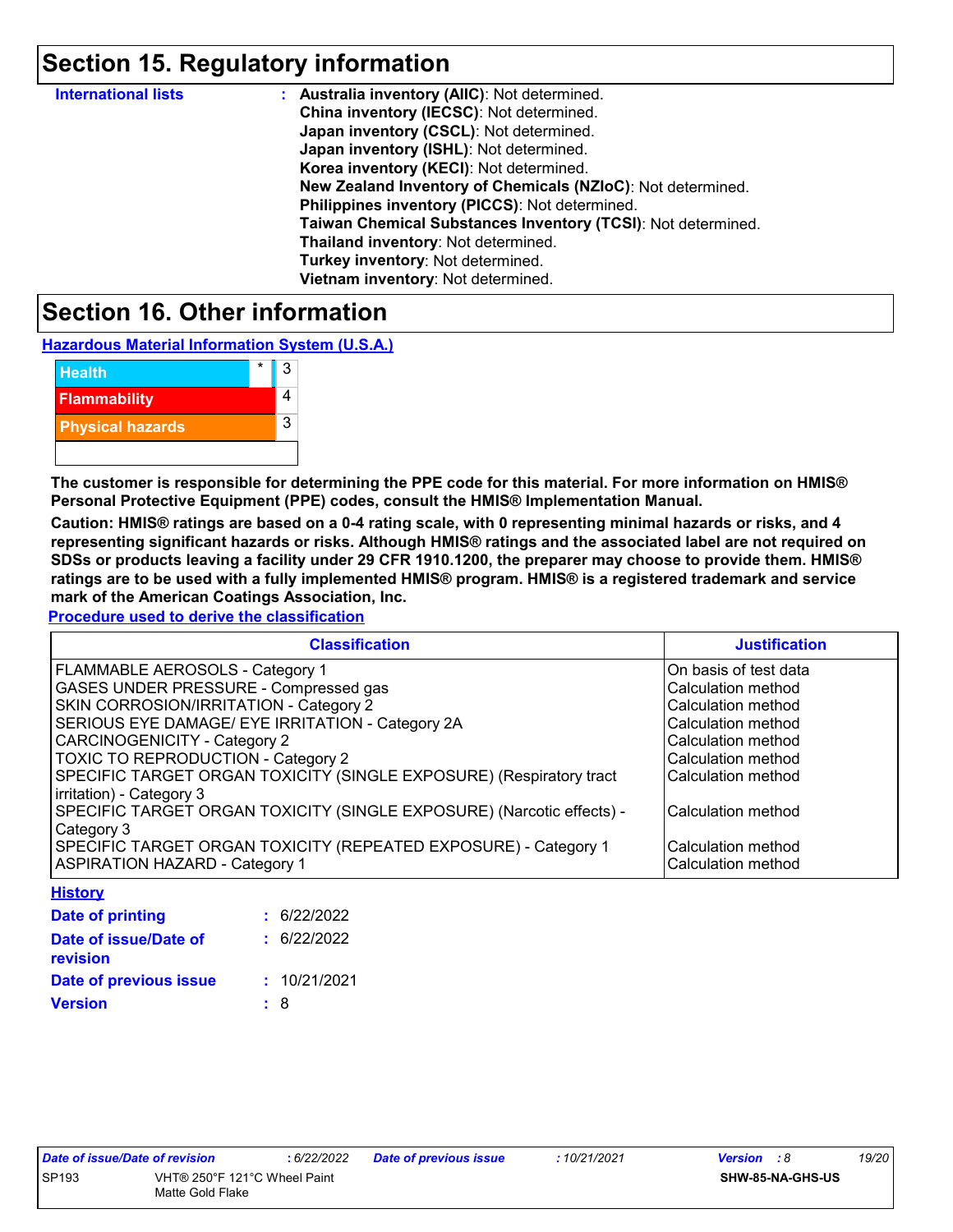## **Section 15. Regulatory information**

| <b>International lists</b> | : Australia inventory (AIIC): Not determined.                |
|----------------------------|--------------------------------------------------------------|
|                            | China inventory (IECSC): Not determined.                     |
|                            | Japan inventory (CSCL): Not determined.                      |
|                            | Japan inventory (ISHL): Not determined.                      |
|                            | Korea inventory (KECI): Not determined.                      |
|                            | New Zealand Inventory of Chemicals (NZIoC): Not determined.  |
|                            | Philippines inventory (PICCS): Not determined.               |
|                            | Taiwan Chemical Substances Inventory (TCSI): Not determined. |
|                            | Thailand inventory: Not determined.                          |
|                            | Turkey inventory: Not determined.                            |
|                            | Vietnam inventory: Not determined.                           |

### **Section 16. Other information**

**Hazardous Material Information System (U.S.A.)**

| <b>Health</b>           | 3 |
|-------------------------|---|
| <b>Flammability</b>     |   |
| <b>Physical hazards</b> | 3 |
|                         |   |

**The customer is responsible for determining the PPE code for this material. For more information on HMIS® Personal Protective Equipment (PPE) codes, consult the HMIS® Implementation Manual.**

**Caution: HMIS® ratings are based on a 0-4 rating scale, with 0 representing minimal hazards or risks, and 4 representing significant hazards or risks. Although HMIS® ratings and the associated label are not required on SDSs or products leaving a facility under 29 CFR 1910.1200, the preparer may choose to provide them. HMIS® ratings are to be used with a fully implemented HMIS® program. HMIS® is a registered trademark and service mark of the American Coatings Association, Inc.**

**Procedure used to derive the classification**

| <b>Classification</b>                                                 | <b>Justification</b>   |
|-----------------------------------------------------------------------|------------------------|
| FLAMMABLE AEROSOLS - Category 1                                       | IOn basis of test data |
| GASES UNDER PRESSURE - Compressed gas                                 | Calculation method     |
| SKIN CORROSION/IRRITATION - Category 2                                | Calculation method     |
| SERIOUS EYE DAMAGE/ EYE IRRITATION - Category 2A                      | Calculation method     |
| <b>CARCINOGENICITY - Category 2</b>                                   | Calculation method     |
| TOXIC TO REPRODUCTION - Category 2                                    | Calculation method     |
| SPECIFIC TARGET ORGAN TOXICITY (SINGLE EXPOSURE) (Respiratory tract   | Calculation method     |
| irritation) - Category 3                                              |                        |
| SPECIFIC TARGET ORGAN TOXICITY (SINGLE EXPOSURE) (Narcotic effects) - | Calculation method     |
| Category 3                                                            |                        |
| SPECIFIC TARGET ORGAN TOXICITY (REPEATED EXPOSURE) - Category 1       | Calculation method     |
| <b>ASPIRATION HAZARD - Category 1</b>                                 | Calculation method     |

| : 6/22/2022  |
|--------------|
| : 6/22/2022  |
| : 10/21/2021 |
| : 8          |
|              |

**History**